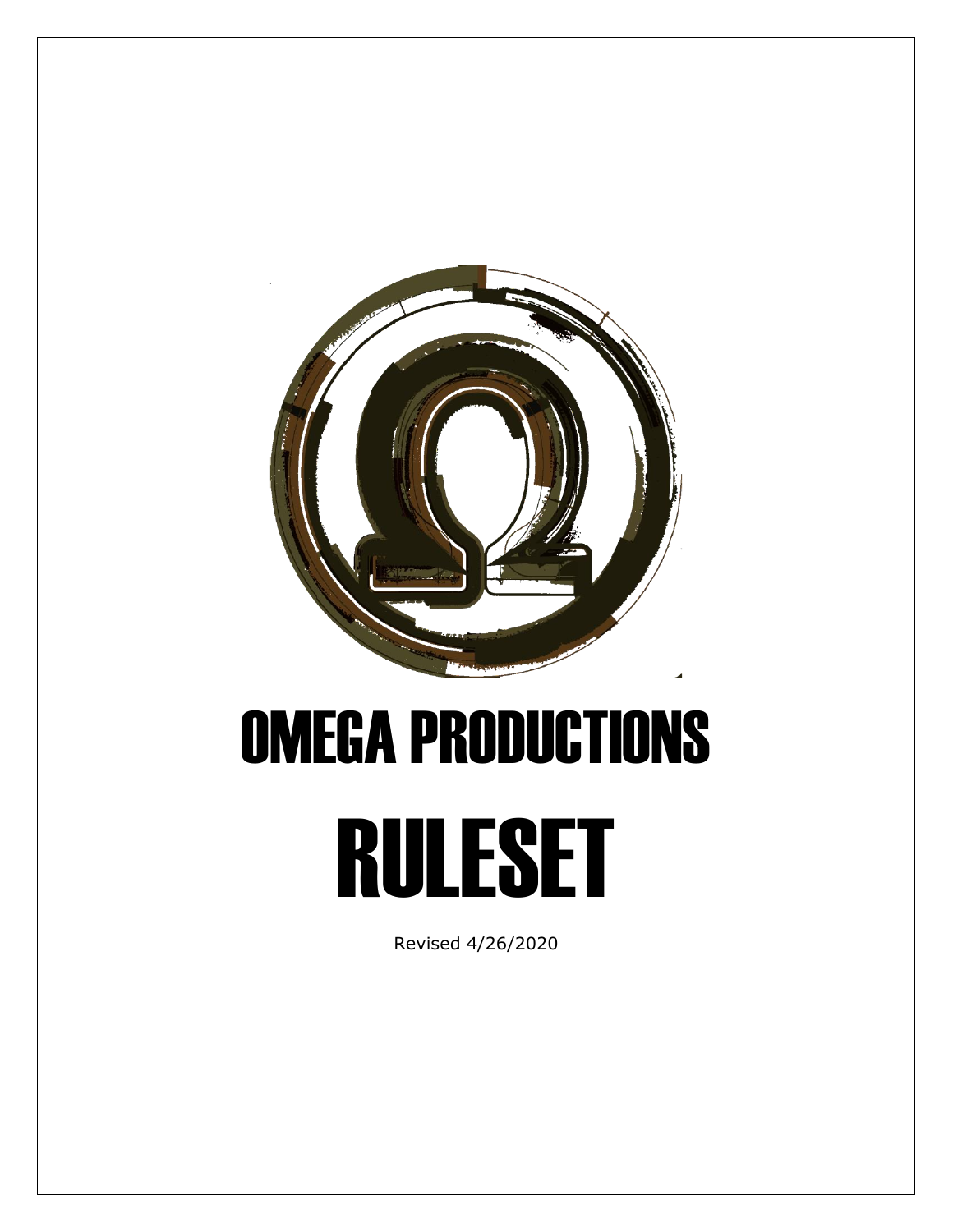

# OMEGA PRODUCTIONS

# RULESET

Revised 4/26/2020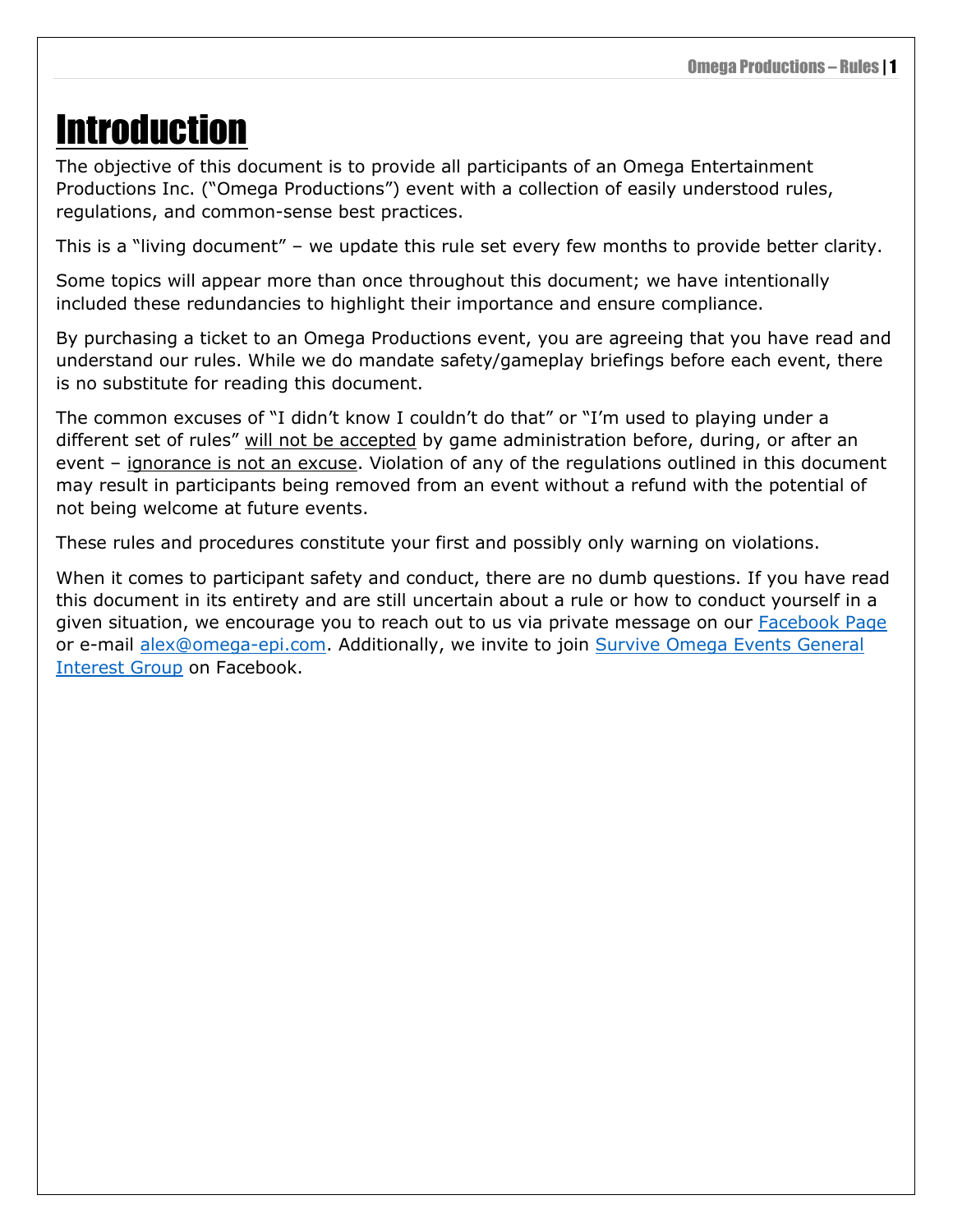# <span id="page-4-0"></span>Introduction

The objective of this document is to provide all participants of an Omega Entertainment Productions Inc. ("Omega Productions") event with a collection of easily understood rules, regulations, and common-sense best practices.

This is a "living document" – we update this rule set every few months to provide better clarity.

Some topics will appear more than once throughout this document; we have intentionally included these redundancies to highlight their importance and ensure compliance.

By purchasing a ticket to an Omega Productions event, you are agreeing that you have read and understand our rules. While we do mandate safety/gameplay briefings before each event, there is no substitute for reading this document.

The common excuses of "I didn't know I couldn't do that" or "I'm used to playing under a different set of rules" will not be accepted by game administration before, during, or after an event – ignorance is not an excuse. Violation of any of the regulations outlined in this document may result in participants being removed from an event without a refund with the potential of not being welcome at future events.

These rules and procedures constitute your first and possibly only warning on violations.

When it comes to participant safety and conduct, there are no dumb questions. If you have read this document in its entirety and are still uncertain about a rule or how to conduct yourself in a given situation, we encourage you to reach out to us via private message on our [Facebook Page](https://www.facebook.com/surviveomega/) or e-mail [alex@omega-epi.com.](mailto:alex@omega-epi.com) Additionally, we invite to join Survive Omega Events General [Interest Group](https://www.facebook.com/groups/347598602450379/?source_id=924242551069127) on Facebook.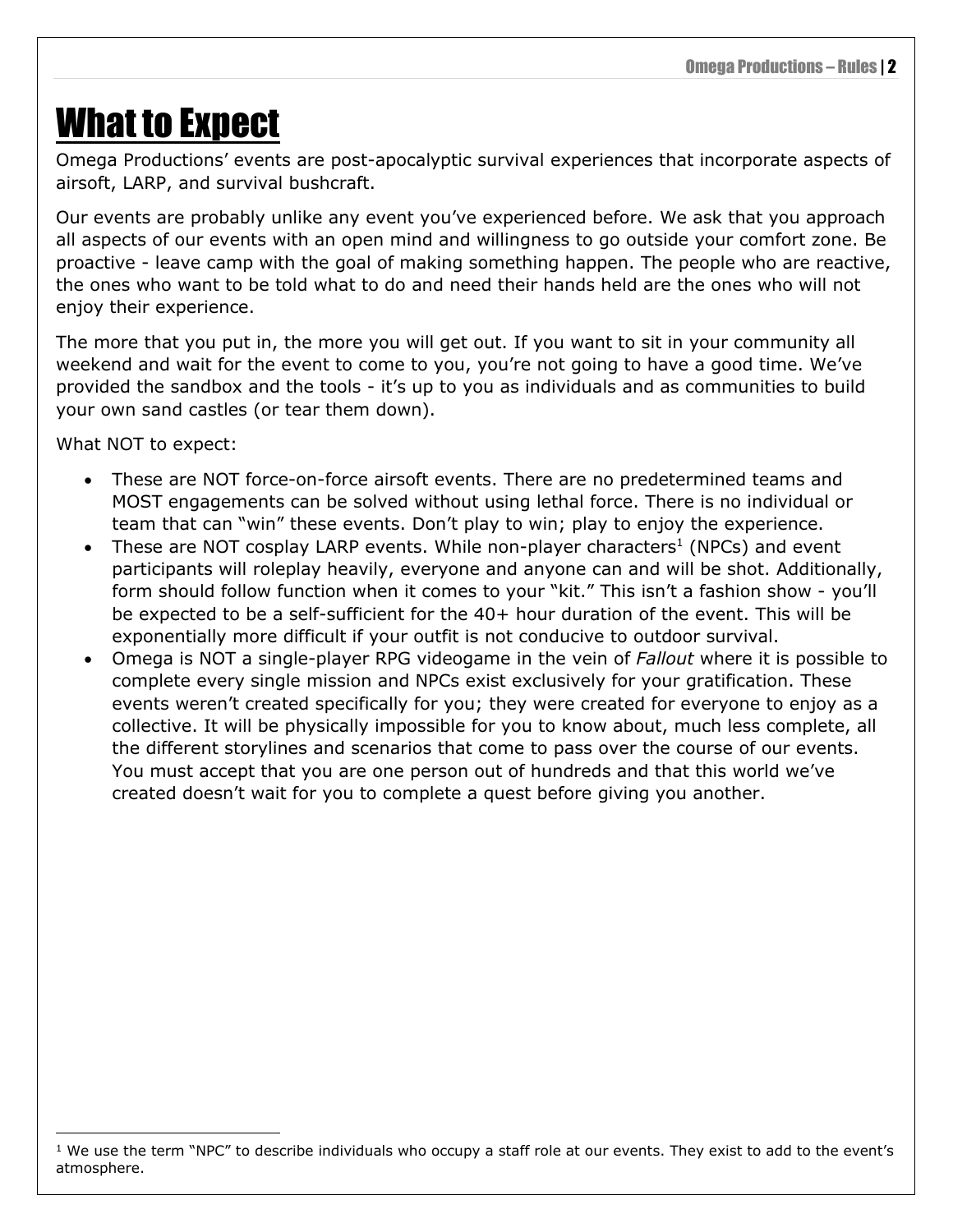## <span id="page-5-0"></span>What to Expect

Omega Productions' events are post-apocalyptic survival experiences that incorporate aspects of airsoft, LARP, and survival bushcraft.

Our events are probably unlike any event you've experienced before. We ask that you approach all aspects of our events with an open mind and willingness to go outside your comfort zone. Be proactive - leave camp with the goal of making something happen. The people who are reactive, the ones who want to be told what to do and need their hands held are the ones who will not enjoy their experience.

The more that you put in, the more you will get out. If you want to sit in your community all weekend and wait for the event to come to you, you're not going to have a good time. We've provided the sandbox and the tools - it's up to you as individuals and as communities to build your own sand castles (or tear them down).

What NOT to expect:

- These are NOT force-on-force airsoft events. There are no predetermined teams and MOST engagements can be solved without using lethal force. There is no individual or team that can "win" these events. Don't play to win; play to enjoy the experience.
- These are NOT cosplay LARP events. While non-player characters<sup>1</sup> (NPCs) and event participants will roleplay heavily, everyone and anyone can and will be shot. Additionally, form should follow function when it comes to your "kit." This isn't a fashion show - you'll be expected to be a self-sufficient for the 40+ hour duration of the event. This will be exponentially more difficult if your outfit is not conducive to outdoor survival.
- Omega is NOT a single-player RPG videogame in the vein of *Fallout* where it is possible to complete every single mission and NPCs exist exclusively for your gratification. These events weren't created specifically for you; they were created for everyone to enjoy as a collective. It will be physically impossible for you to know about, much less complete, all the different storylines and scenarios that come to pass over the course of our events. You must accept that you are one person out of hundreds and that this world we've created doesn't wait for you to complete a quest before giving you another.

 $1$  We use the term "NPC" to describe individuals who occupy a staff role at our events. They exist to add to the event's atmosphere.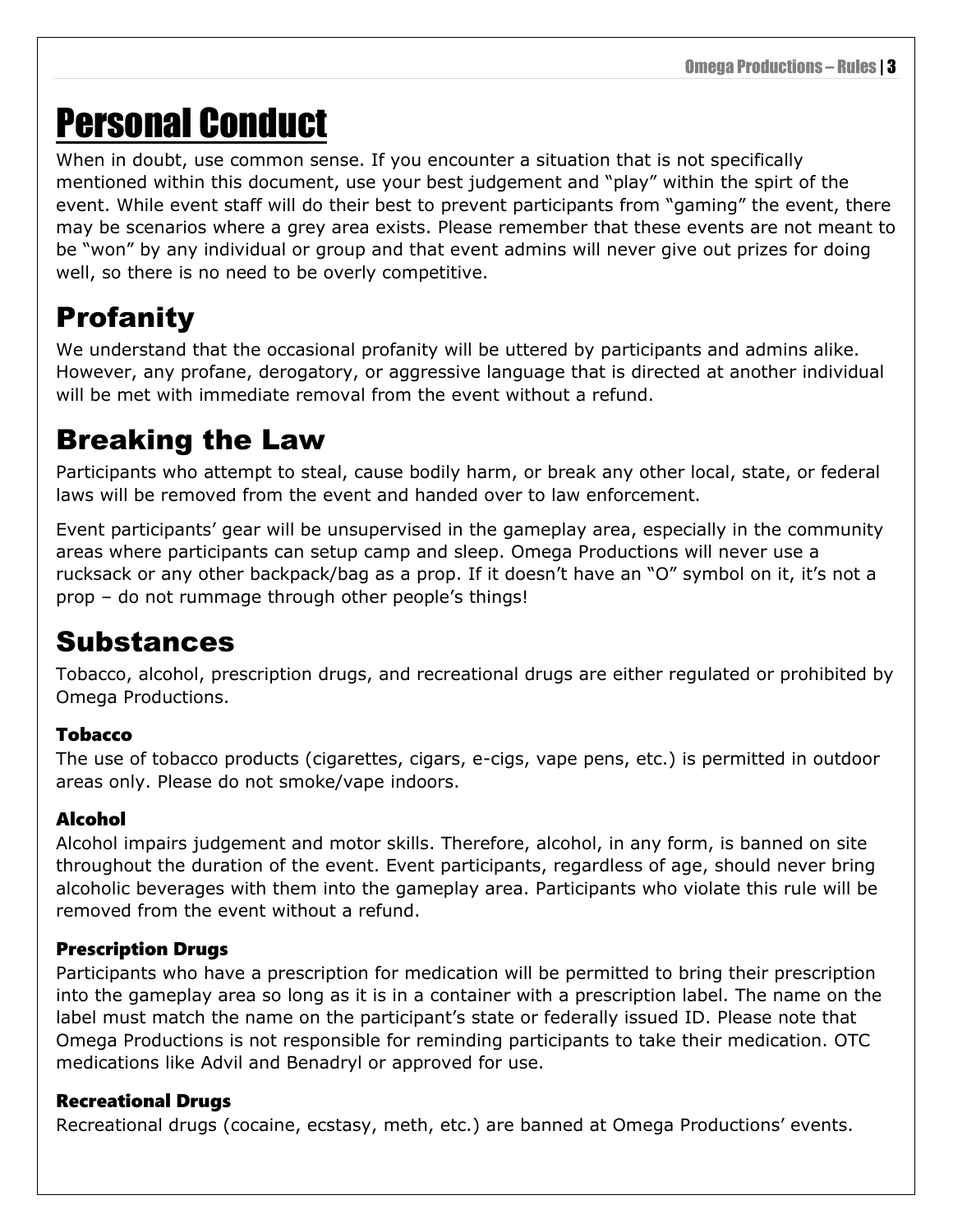# <span id="page-6-0"></span>Personal Conduct

When in doubt, use common sense. If you encounter a situation that is not specifically mentioned within this document, use your best judgement and "play" within the spirt of the event. While event staff will do their best to prevent participants from "gaming" the event, there may be scenarios where a grey area exists. Please remember that these events are not meant to be "won" by any individual or group and that event admins will never give out prizes for doing well, so there is no need to be overly competitive.

### <span id="page-6-1"></span>Profanity

We understand that the occasional profanity will be uttered by participants and admins alike. However, any profane, derogatory, or aggressive language that is directed at another individual will be met with immediate removal from the event without a refund.

### <span id="page-6-2"></span>Breaking the Law

Participants who attempt to steal, cause bodily harm, or break any other local, state, or federal laws will be removed from the event and handed over to law enforcement.

Event participants' gear will be unsupervised in the gameplay area, especially in the community areas where participants can setup camp and sleep. Omega Productions will never use a rucksack or any other backpack/bag as a prop. If it doesn't have an "O" symbol on it, it's not a prop – do not rummage through other people's things!

### <span id="page-6-3"></span>Substances

Tobacco, alcohol, prescription drugs, and recreational drugs are either regulated or prohibited by Omega Productions.

### <span id="page-6-4"></span>Tobacco

The use of tobacco products (cigarettes, cigars, e-cigs, vape pens, etc.) is permitted in outdoor areas only. Please do not smoke/vape indoors.

### <span id="page-6-5"></span>Alcohol

Alcohol impairs judgement and motor skills. Therefore, alcohol, in any form, is banned on site throughout the duration of the event. Event participants, regardless of age, should never bring alcoholic beverages with them into the gameplay area. Participants who violate this rule will be removed from the event without a refund.

### <span id="page-6-6"></span>Prescription Drugs

Participants who have a prescription for medication will be permitted to bring their prescription into the gameplay area so long as it is in a container with a prescription label. The name on the label must match the name on the participant's state or federally issued ID. Please note that Omega Productions is not responsible for reminding participants to take their medication. OTC medications like Advil and Benadryl or approved for use.

### <span id="page-6-7"></span>Recreational Drugs

Recreational drugs (cocaine, ecstasy, meth, etc.) are banned at Omega Productions' events.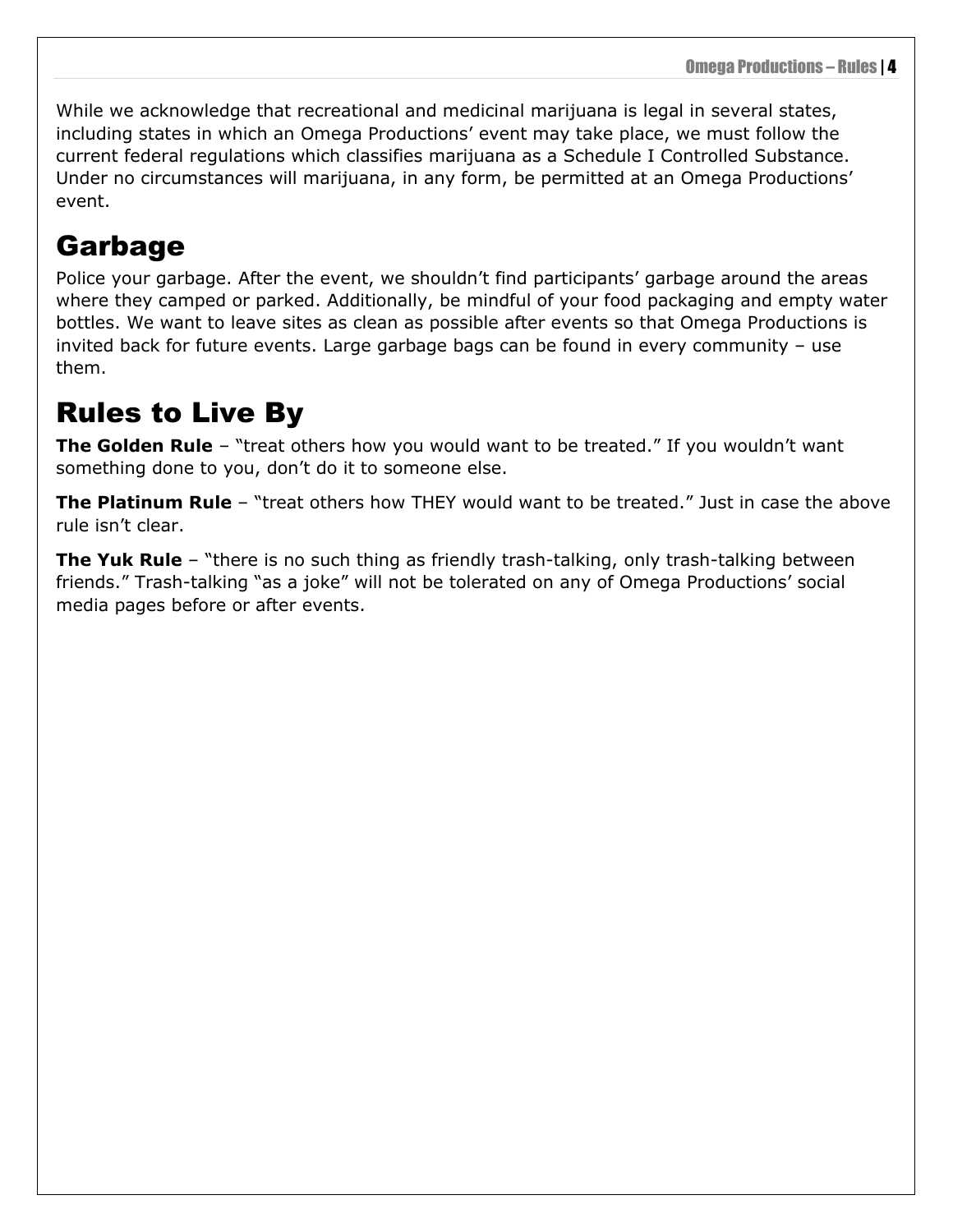While we acknowledge that recreational and medicinal marijuana is legal in several states, including states in which an Omega Productions' event may take place, we must follow the current federal regulations which classifies marijuana as a Schedule I Controlled Substance. Under no circumstances will marijuana, in any form, be permitted at an Omega Productions' event.

### <span id="page-7-0"></span>Garbage

Police your garbage. After the event, we shouldn't find participants' garbage around the areas where they camped or parked. Additionally, be mindful of your food packaging and empty water bottles. We want to leave sites as clean as possible after events so that Omega Productions is invited back for future events. Large garbage bags can be found in every community – use them.

### <span id="page-7-1"></span>Rules to Live By

**The Golden Rule** – "treat others how you would want to be treated." If you wouldn't want something done to you, don't do it to someone else.

**The Platinum Rule** – "treat others how THEY would want to be treated." Just in case the above rule isn't clear.

**The Yuk Rule** – "there is no such thing as friendly trash-talking, only trash-talking between friends." Trash-talking "as a joke" will not be tolerated on any of Omega Productions' social media pages before or after events.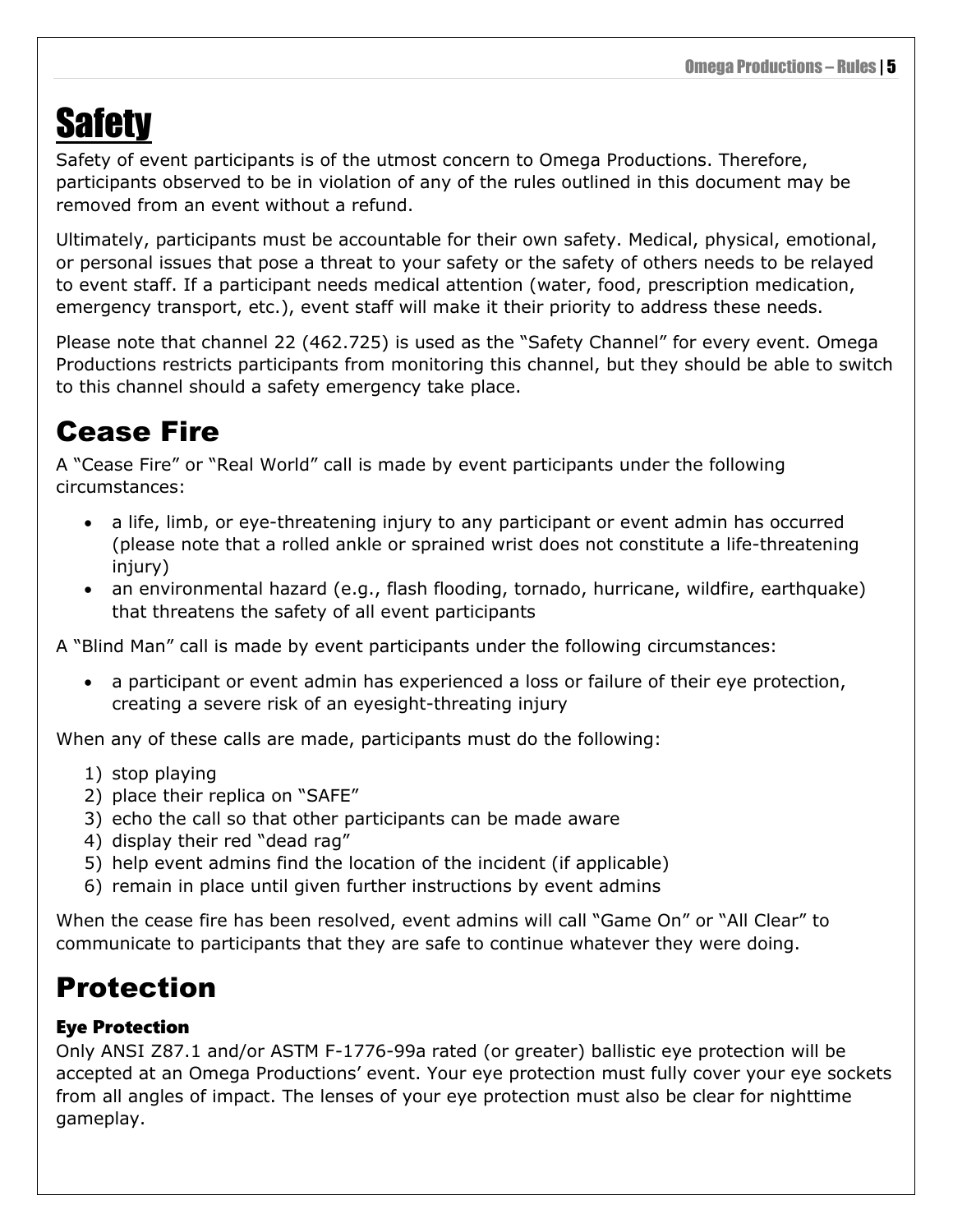# <span id="page-8-0"></span>**Safety**

Safety of event participants is of the utmost concern to Omega Productions. Therefore, participants observed to be in violation of any of the rules outlined in this document may be removed from an event without a refund.

Ultimately, participants must be accountable for their own safety. Medical, physical, emotional, or personal issues that pose a threat to your safety or the safety of others needs to be relayed to event staff. If a participant needs medical attention (water, food, prescription medication, emergency transport, etc.), event staff will make it their priority to address these needs.

Please note that channel 22 (462.725) is used as the "Safety Channel" for every event. Omega Productions restricts participants from monitoring this channel, but they should be able to switch to this channel should a safety emergency take place.

### <span id="page-8-1"></span>Cease Fire

A "Cease Fire" or "Real World" call is made by event participants under the following circumstances:

- a life, limb, or eye-threatening injury to any participant or event admin has occurred (please note that a rolled ankle or sprained wrist does not constitute a life-threatening injury)
- an environmental hazard (e.g., flash flooding, tornado, hurricane, wildfire, earthquake) that threatens the safety of all event participants

A "Blind Man" call is made by event participants under the following circumstances:

• a participant or event admin has experienced a loss or failure of their eye protection, creating a severe risk of an eyesight-threating injury

When any of these calls are made, participants must do the following:

- 1) stop playing
- 2) place their replica on "SAFE"
- 3) echo the call so that other participants can be made aware
- 4) display their red "dead rag"
- 5) help event admins find the location of the incident (if applicable)
- 6) remain in place until given further instructions by event admins

When the cease fire has been resolved, event admins will call "Game On" or "All Clear" to communicate to participants that they are safe to continue whatever they were doing.

### <span id="page-8-2"></span>Protection

### <span id="page-8-3"></span>Eye Protection

Only ANSI Z87.1 and/or ASTM F-1776-99a rated (or greater) ballistic eye protection will be accepted at an Omega Productions' event. Your eye protection must fully cover your eye sockets from all angles of impact. The lenses of your eye protection must also be clear for nighttime gameplay.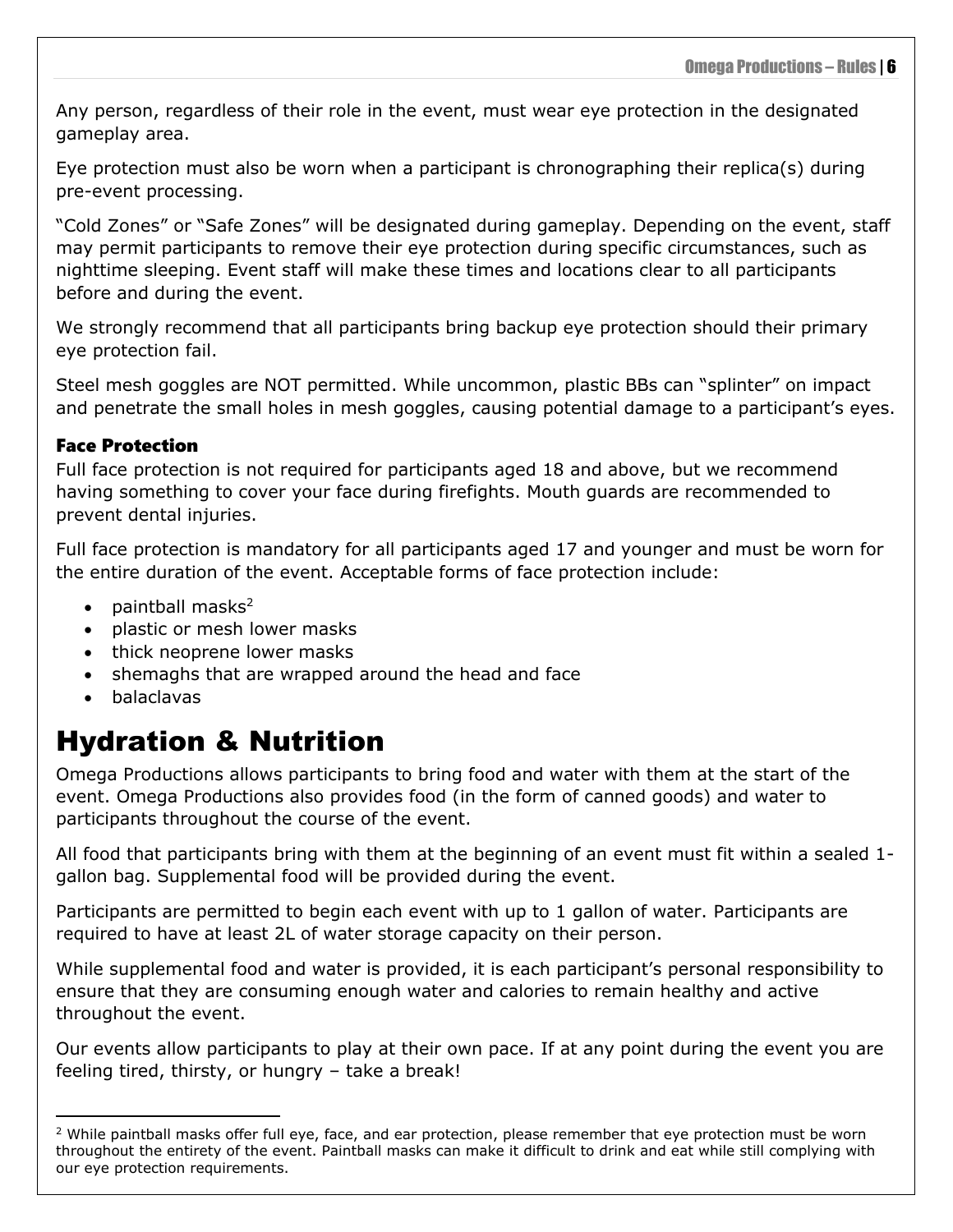Any person, regardless of their role in the event, must wear eye protection in the designated gameplay area.

Eye protection must also be worn when a participant is chronographing their replica(s) during pre-event processing.

"Cold Zones" or "Safe Zones" will be designated during gameplay. Depending on the event, staff may permit participants to remove their eye protection during specific circumstances, such as nighttime sleeping. Event staff will make these times and locations clear to all participants before and during the event.

We strongly recommend that all participants bring backup eye protection should their primary eye protection fail.

Steel mesh goggles are NOT permitted. While uncommon, plastic BBs can "splinter" on impact and penetrate the small holes in mesh goggles, causing potential damage to a participant's eyes.

#### <span id="page-9-0"></span>Face Protection

Full face protection is not required for participants aged 18 and above, but we recommend having something to cover your face during firefights. Mouth guards are recommended to prevent dental injuries.

Full face protection is mandatory for all participants aged 17 and younger and must be worn for the entire duration of the event. Acceptable forms of face protection include:

- paintball masks $2$
- plastic or mesh lower masks
- thick neoprene lower masks
- shemaghs that are wrapped around the head and face
- balaclavas

### <span id="page-9-1"></span>Hydration & Nutrition

Omega Productions allows participants to bring food and water with them at the start of the event. Omega Productions also provides food (in the form of canned goods) and water to participants throughout the course of the event.

All food that participants bring with them at the beginning of an event must fit within a sealed 1 gallon bag. Supplemental food will be provided during the event.

Participants are permitted to begin each event with up to 1 gallon of water. Participants are required to have at least 2L of water storage capacity on their person.

While supplemental food and water is provided, it is each participant's personal responsibility to ensure that they are consuming enough water and calories to remain healthy and active throughout the event.

Our events allow participants to play at their own pace. If at any point during the event you are feeling tired, thirsty, or hungry – take a break!

 $2$  While paintball masks offer full eye, face, and ear protection, please remember that eye protection must be worn throughout the entirety of the event. Paintball masks can make it difficult to drink and eat while still complying with our eye protection requirements.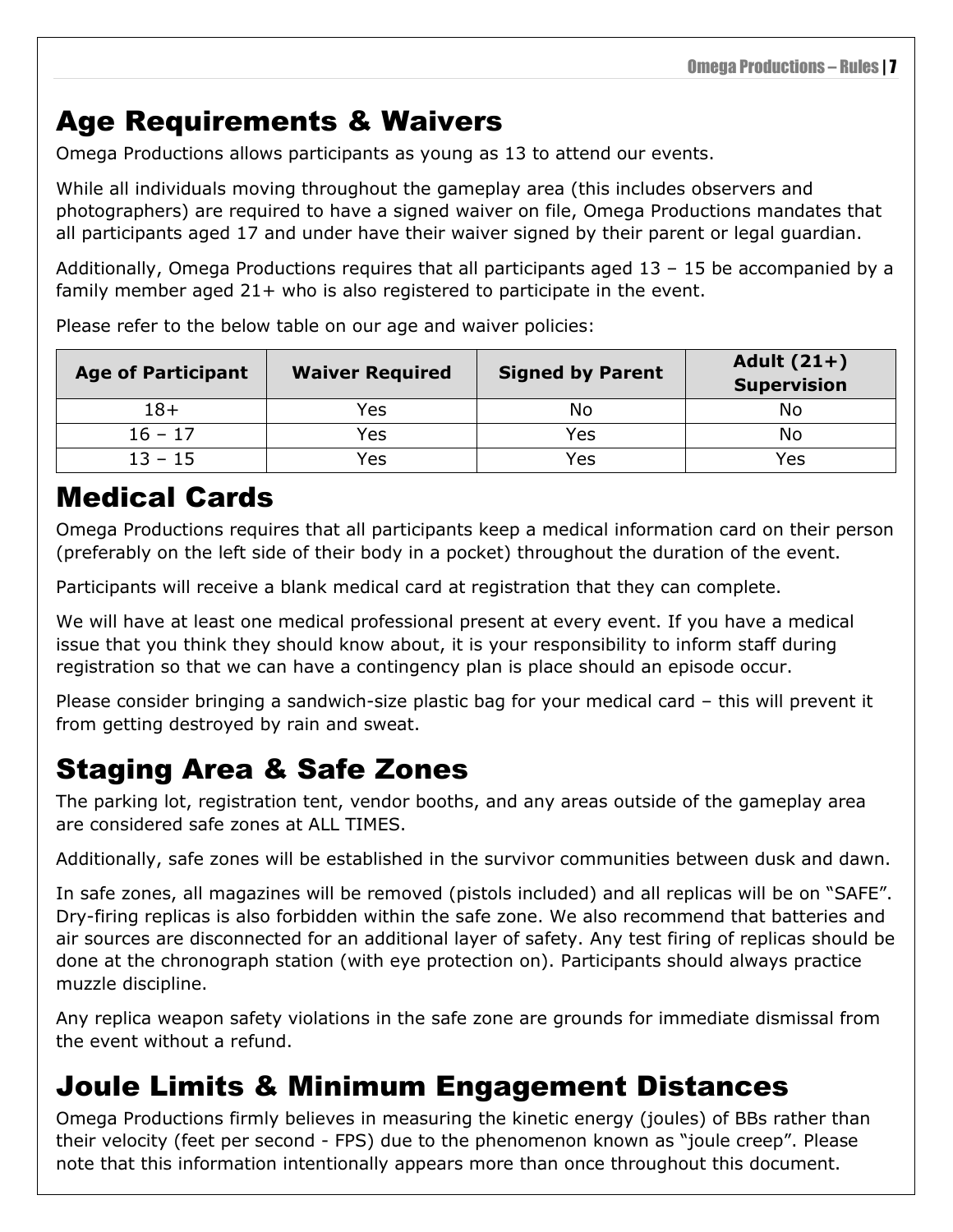### <span id="page-10-0"></span>Age Requirements & Waivers

Omega Productions allows participants as young as 13 to attend our events.

While all individuals moving throughout the gameplay area (this includes observers and photographers) are required to have a signed waiver on file, Omega Productions mandates that all participants aged 17 and under have their waiver signed by their parent or legal guardian.

Additionally, Omega Productions requires that all participants aged 13 – 15 be accompanied by a family member aged 21+ who is also registered to participate in the event.

| <b>Age of Participant</b> | <b>Waiver Required</b> | <b>Signed by Parent</b> | Adult $(21+)$<br><b>Supervision</b> |
|---------------------------|------------------------|-------------------------|-------------------------------------|
| 18+                       | Yes                    | No                      | N٥                                  |
| $16 - 17$                 | Yes                    | Yes                     | N٥                                  |
| $13 - 15$                 | Yes                    | Yes                     | Yes                                 |

Please refer to the below table on our age and waiver policies:

### <span id="page-10-1"></span>Medical Cards

Omega Productions requires that all participants keep a medical information card on their person (preferably on the left side of their body in a pocket) throughout the duration of the event.

Participants will receive a blank medical card at registration that they can complete.

We will have at least one medical professional present at every event. If you have a medical issue that you think they should know about, it is your responsibility to inform staff during registration so that we can have a contingency plan is place should an episode occur.

Please consider bringing a sandwich-size plastic bag for your medical card – this will prevent it from getting destroyed by rain and sweat.

### <span id="page-10-2"></span>Staging Area & Safe Zones

The parking lot, registration tent, vendor booths, and any areas outside of the gameplay area are considered safe zones at ALL TIMES.

Additionally, safe zones will be established in the survivor communities between dusk and dawn.

In safe zones, all magazines will be removed (pistols included) and all replicas will be on "SAFE". Dry-firing replicas is also forbidden within the safe zone. We also recommend that batteries and air sources are disconnected for an additional layer of safety. Any test firing of replicas should be done at the chronograph station (with eye protection on). Participants should always practice muzzle discipline.

Any replica weapon safety violations in the safe zone are grounds for immediate dismissal from the event without a refund.

### <span id="page-10-3"></span>Joule Limits & Minimum Engagement Distances

Omega Productions firmly believes in measuring the kinetic energy (joules) of BBs rather than their velocity (feet per second - FPS) due to the phenomenon known as "joule creep". Please note that this information intentionally appears more than once throughout this document.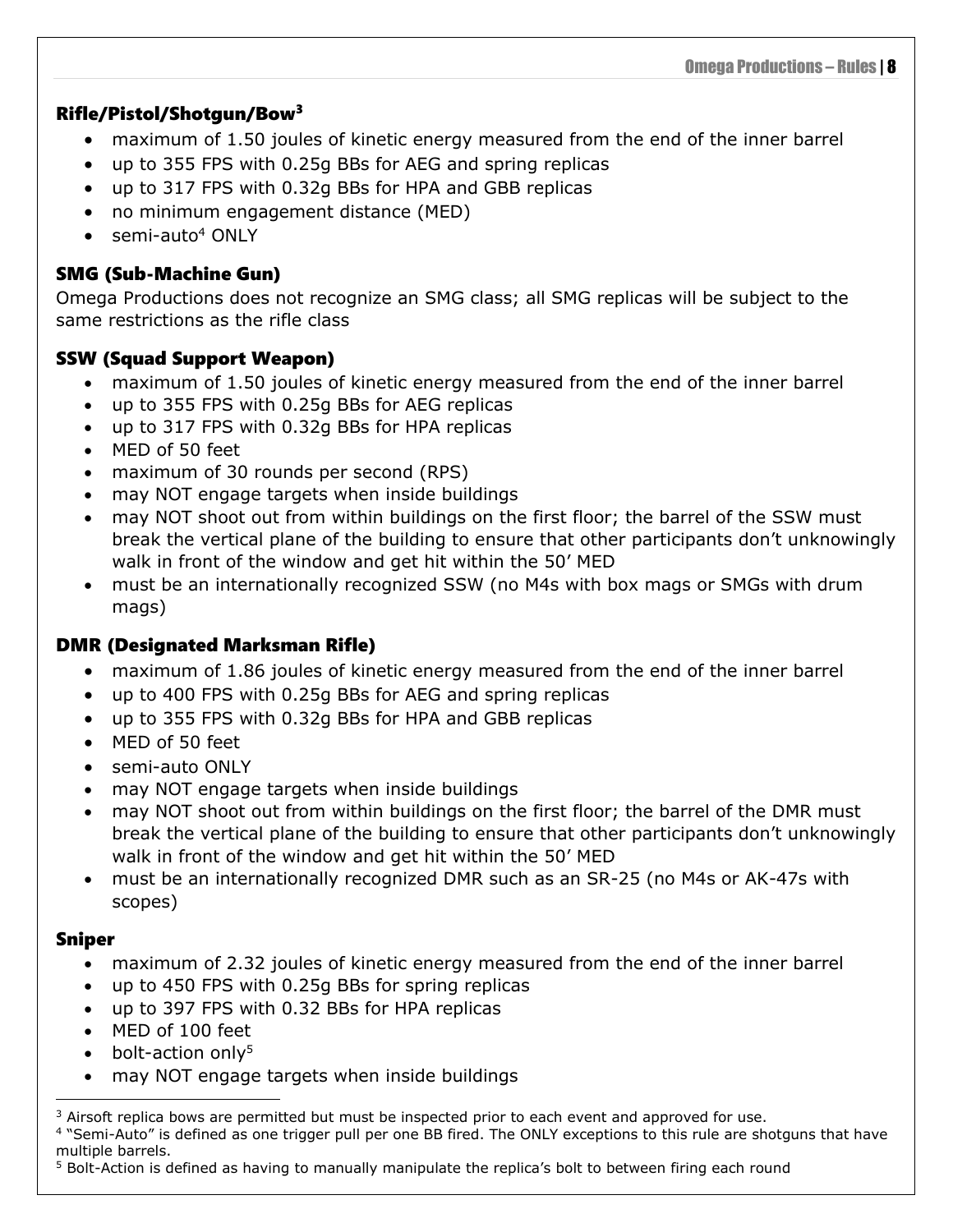#### <span id="page-11-0"></span>Rifle/Pistol/Shotgun/Bow<sup>3</sup>

- maximum of 1.50 joules of kinetic energy measured from the end of the inner barrel
- up to 355 FPS with 0.25g BBs for AEG and spring replicas
- up to 317 FPS with 0.32g BBs for HPA and GBB replicas
- no minimum engagement distance (MED)
- $\bullet$  semi-auto<sup>4</sup> ONLY

#### <span id="page-11-1"></span>SMG (Sub-Machine Gun)

Omega Productions does not recognize an SMG class; all SMG replicas will be subject to the same restrictions as the rifle class

#### <span id="page-11-2"></span>SSW (Squad Support Weapon)

- maximum of 1.50 joules of kinetic energy measured from the end of the inner barrel
- up to 355 FPS with 0.25g BBs for AEG replicas
- up to 317 FPS with 0.32g BBs for HPA replicas
- MED of 50 feet
- maximum of 30 rounds per second (RPS)
- may NOT engage targets when inside buildings
- may NOT shoot out from within buildings on the first floor; the barrel of the SSW must break the vertical plane of the building to ensure that other participants don't unknowingly walk in front of the window and get hit within the 50' MED
- must be an internationally recognized SSW (no M4s with box mags or SMGs with drum mags)

#### <span id="page-11-3"></span>DMR (Designated Marksman Rifle)

- maximum of 1.86 joules of kinetic energy measured from the end of the inner barrel
- up to 400 FPS with 0.25g BBs for AEG and spring replicas
- up to 355 FPS with 0.32g BBs for HPA and GBB replicas
- MED of 50 feet
- semi-auto ONLY
- may NOT engage targets when inside buildings
- may NOT shoot out from within buildings on the first floor; the barrel of the DMR must break the vertical plane of the building to ensure that other participants don't unknowingly walk in front of the window and get hit within the 50' MED
- must be an internationally recognized DMR such as an SR-25 (no M4s or AK-47s with scopes)

#### <span id="page-11-4"></span>Sniper

- maximum of 2.32 joules of kinetic energy measured from the end of the inner barrel
- up to 450 FPS with 0.25g BBs for spring replicas
- up to 397 FPS with 0.32 BBs for HPA replicas
- MED of 100 feet
- bolt-action only<sup>5</sup>
- may NOT engage targets when inside buildings

 $3$  Airsoft replica bows are permitted but must be inspected prior to each event and approved for use. <sup>4</sup> "Semi-Auto" is defined as one trigger pull per one BB fired. The ONLY exceptions to this rule are shotguns that have multiple barrels.

<sup>5</sup> Bolt-Action is defined as having to manually manipulate the replica's bolt to between firing each round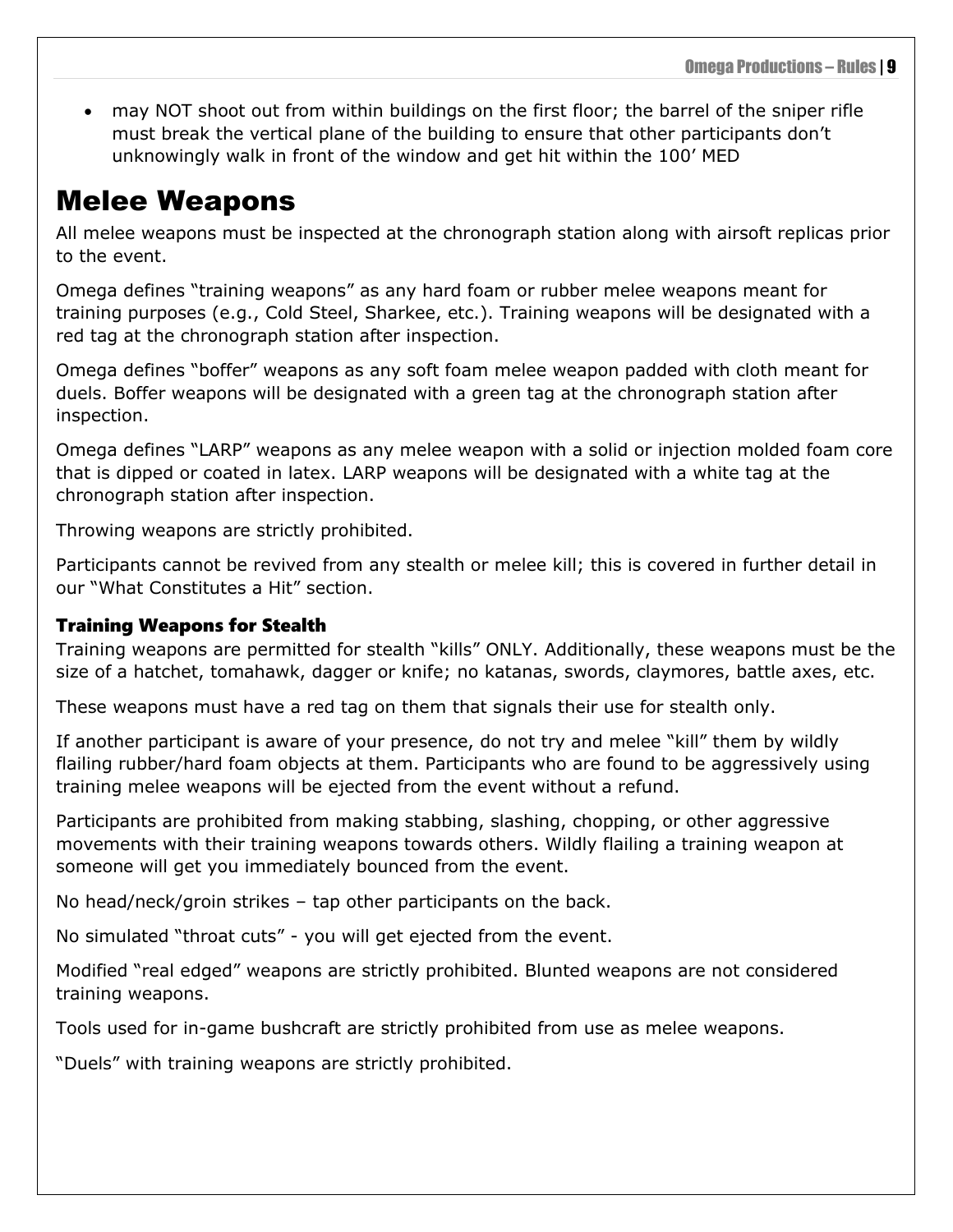• may NOT shoot out from within buildings on the first floor; the barrel of the sniper rifle must break the vertical plane of the building to ensure that other participants don't unknowingly walk in front of the window and get hit within the 100' MED

### <span id="page-12-0"></span>Melee Weapons

All melee weapons must be inspected at the chronograph station along with airsoft replicas prior to the event.

Omega defines "training weapons" as any hard foam or rubber melee weapons meant for training purposes (e.g., Cold Steel, Sharkee, etc.). Training weapons will be designated with a red tag at the chronograph station after inspection.

Omega defines "boffer" weapons as any soft foam melee weapon padded with cloth meant for duels. Boffer weapons will be designated with a green tag at the chronograph station after inspection.

Omega defines "LARP" weapons as any melee weapon with a solid or injection molded foam core that is dipped or coated in latex. LARP weapons will be designated with a white tag at the chronograph station after inspection.

Throwing weapons are strictly prohibited.

Participants cannot be revived from any stealth or melee kill; this is covered in further detail in our "What Constitutes a Hit" section.

#### <span id="page-12-1"></span>Training Weapons for Stealth

Training weapons are permitted for stealth "kills" ONLY. Additionally, these weapons must be the size of a hatchet, tomahawk, dagger or knife; no katanas, swords, claymores, battle axes, etc.

These weapons must have a red tag on them that signals their use for stealth only.

If another participant is aware of your presence, do not try and melee "kill" them by wildly flailing rubber/hard foam objects at them. Participants who are found to be aggressively using training melee weapons will be ejected from the event without a refund.

Participants are prohibited from making stabbing, slashing, chopping, or other aggressive movements with their training weapons towards others. Wildly flailing a training weapon at someone will get you immediately bounced from the event.

No head/neck/groin strikes – tap other participants on the back.

No simulated "throat cuts" - you will get ejected from the event.

Modified "real edged" weapons are strictly prohibited. Blunted weapons are not considered training weapons.

Tools used for in-game bushcraft are strictly prohibited from use as melee weapons.

"Duels" with training weapons are strictly prohibited.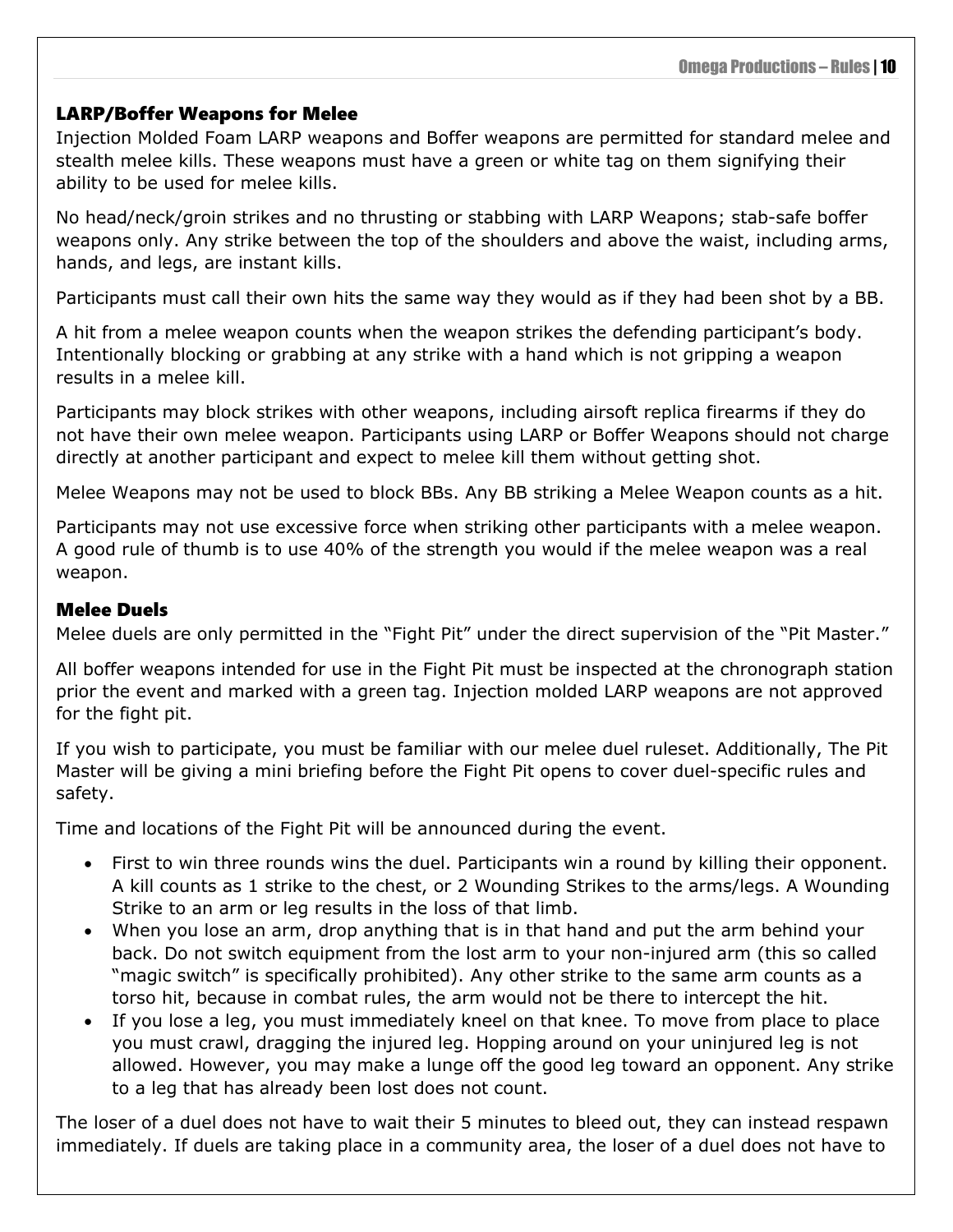#### <span id="page-13-0"></span>LARP/Boffer Weapons for Melee

Injection Molded Foam LARP weapons and Boffer weapons are permitted for standard melee and stealth melee kills. These weapons must have a green or white tag on them signifying their ability to be used for melee kills.

No head/neck/groin strikes and no thrusting or stabbing with LARP Weapons; stab-safe boffer weapons only. Any strike between the top of the shoulders and above the waist, including arms, hands, and legs, are instant kills.

Participants must call their own hits the same way they would as if they had been shot by a BB.

A hit from a melee weapon counts when the weapon strikes the defending participant's body. Intentionally blocking or grabbing at any strike with a hand which is not gripping a weapon results in a melee kill.

Participants may block strikes with other weapons, including airsoft replica firearms if they do not have their own melee weapon. Participants using LARP or Boffer Weapons should not charge directly at another participant and expect to melee kill them without getting shot.

Melee Weapons may not be used to block BBs. Any BB striking a Melee Weapon counts as a hit.

Participants may not use excessive force when striking other participants with a melee weapon. A good rule of thumb is to use 40% of the strength you would if the melee weapon was a real weapon.

#### <span id="page-13-1"></span>Melee Duels

Melee duels are only permitted in the "Fight Pit" under the direct supervision of the "Pit Master."

All boffer weapons intended for use in the Fight Pit must be inspected at the chronograph station prior the event and marked with a green tag. Injection molded LARP weapons are not approved for the fight pit.

If you wish to participate, you must be familiar with our melee duel ruleset. Additionally, The Pit Master will be giving a mini briefing before the Fight Pit opens to cover duel-specific rules and safety.

Time and locations of the Fight Pit will be announced during the event.

- First to win three rounds wins the duel. Participants win a round by killing their opponent. A kill counts as 1 strike to the chest, or 2 Wounding Strikes to the arms/legs. A Wounding Strike to an arm or leg results in the loss of that limb.
- When you lose an arm, drop anything that is in that hand and put the arm behind your back. Do not switch equipment from the lost arm to your non-injured arm (this so called "magic switch" is specifically prohibited). Any other strike to the same arm counts as a torso hit, because in combat rules, the arm would not be there to intercept the hit.
- If you lose a leg, you must immediately kneel on that knee. To move from place to place you must crawl, dragging the injured leg. Hopping around on your uninjured leg is not allowed. However, you may make a lunge off the good leg toward an opponent. Any strike to a leg that has already been lost does not count.

The loser of a duel does not have to wait their 5 minutes to bleed out, they can instead respawn immediately. If duels are taking place in a community area, the loser of a duel does not have to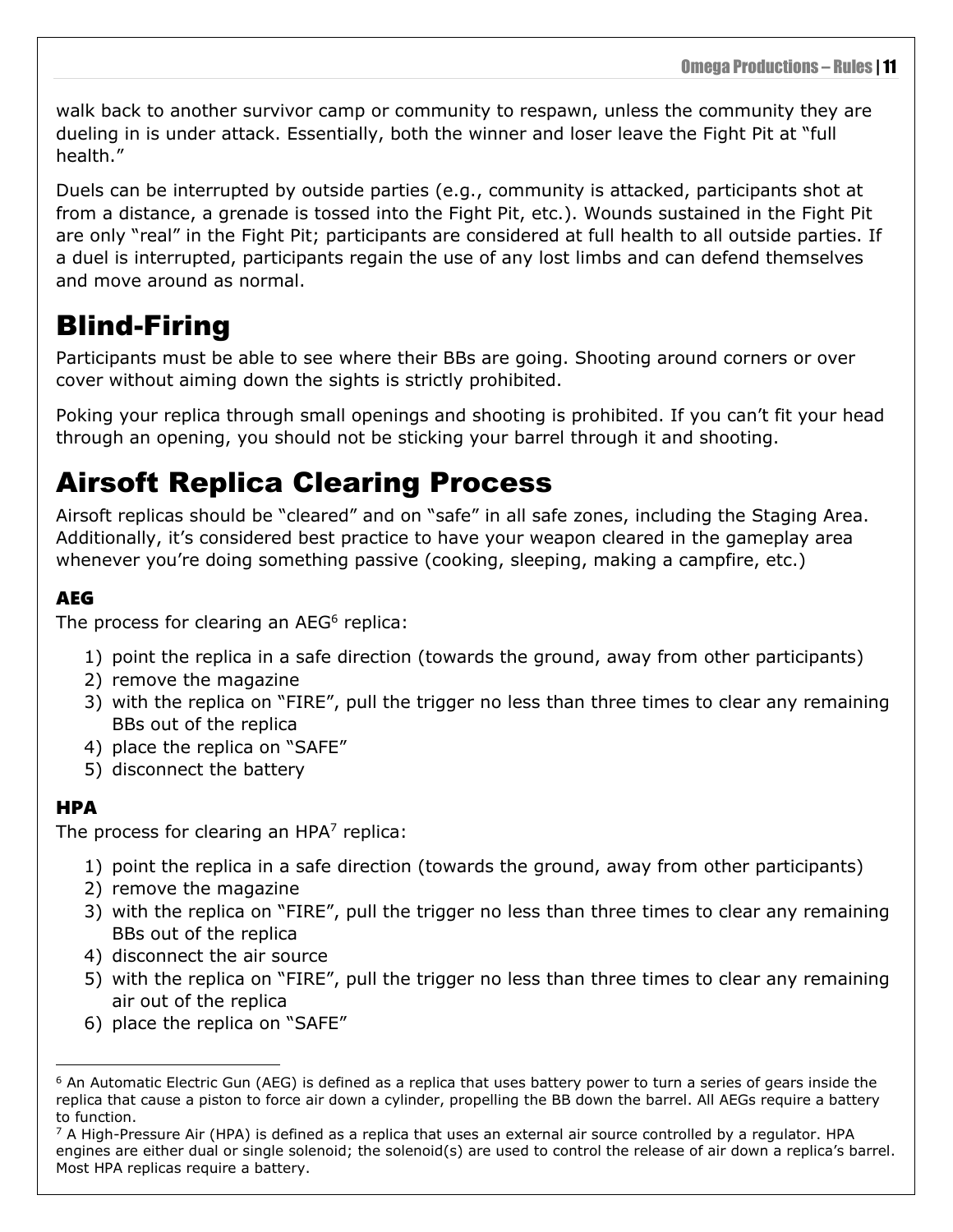walk back to another survivor camp or community to respawn, unless the community they are dueling in is under attack. Essentially, both the winner and loser leave the Fight Pit at "full health."

Duels can be interrupted by outside parties (e.g., community is attacked, participants shot at from a distance, a grenade is tossed into the Fight Pit, etc.). Wounds sustained in the Fight Pit are only "real" in the Fight Pit; participants are considered at full health to all outside parties. If a duel is interrupted, participants regain the use of any lost limbs and can defend themselves and move around as normal.

### <span id="page-14-0"></span>Blind-Firing

Participants must be able to see where their BBs are going. Shooting around corners or over cover without aiming down the sights is strictly prohibited.

Poking your replica through small openings and shooting is prohibited. If you can't fit your head through an opening, you should not be sticking your barrel through it and shooting.

### <span id="page-14-1"></span>Airsoft Replica Clearing Process

Airsoft replicas should be "cleared" and on "safe" in all safe zones, including the Staging Area. Additionally, it's considered best practice to have your weapon cleared in the gameplay area whenever you're doing something passive (cooking, sleeping, making a campfire, etc.)

### <span id="page-14-2"></span>AEG

The process for clearing an  $AEG<sup>6</sup>$  replica:

- 1) point the replica in a safe direction (towards the ground, away from other participants)
- 2) remove the magazine
- 3) with the replica on "FIRE", pull the trigger no less than three times to clear any remaining BBs out of the replica
- 4) place the replica on "SAFE"
- 5) disconnect the battery

### <span id="page-14-3"></span>HPA

The process for clearing an  $HPA<sup>7</sup>$  replica:

- 1) point the replica in a safe direction (towards the ground, away from other participants)
- 2) remove the magazine
- 3) with the replica on "FIRE", pull the trigger no less than three times to clear any remaining BBs out of the replica
- 4) disconnect the air source
- 5) with the replica on "FIRE", pull the trigger no less than three times to clear any remaining air out of the replica
- 6) place the replica on "SAFE"

<sup>&</sup>lt;sup>6</sup> An Automatic Electric Gun (AEG) is defined as a replica that uses battery power to turn a series of gears inside the replica that cause a piston to force air down a cylinder, propelling the BB down the barrel. All AEGs require a battery to function.

 $7$  A High-Pressure Air (HPA) is defined as a replica that uses an external air source controlled by a regulator. HPA engines are either dual or single solenoid; the solenoid(s) are used to control the release of air down a replica's barrel. Most HPA replicas require a battery.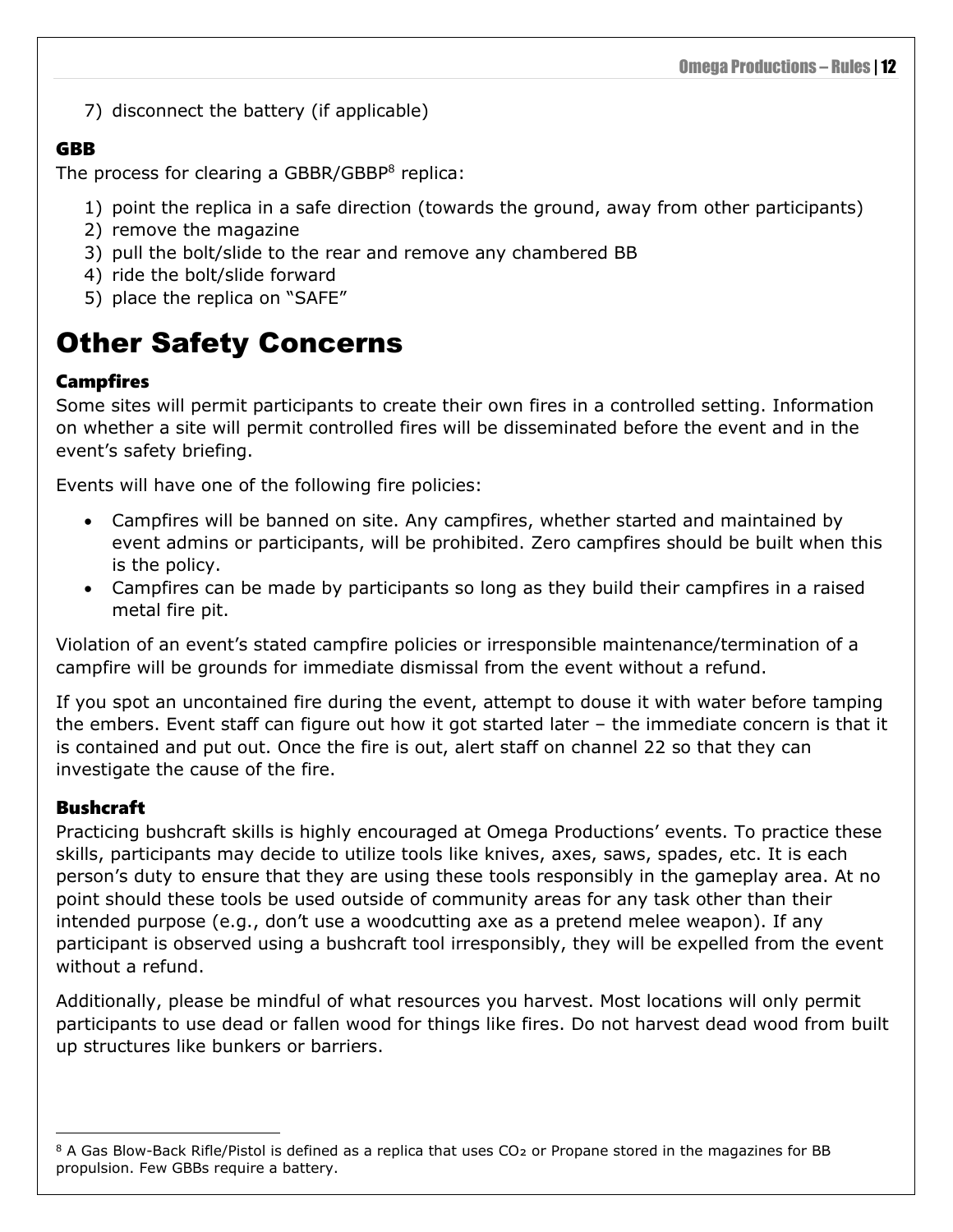7) disconnect the battery (if applicable)

#### <span id="page-15-0"></span>**GRR**

The process for clearing a GBBR/GBBP $8$  replica:

- 1) point the replica in a safe direction (towards the ground, away from other participants)
- 2) remove the magazine
- 3) pull the bolt/slide to the rear and remove any chambered BB
- 4) ride the bolt/slide forward
- 5) place the replica on "SAFE"

### <span id="page-15-1"></span>Other Safety Concerns

### <span id="page-15-2"></span>Campfires

Some sites will permit participants to create their own fires in a controlled setting. Information on whether a site will permit controlled fires will be disseminated before the event and in the event's safety briefing.

Events will have one of the following fire policies:

- Campfires will be banned on site. Any campfires, whether started and maintained by event admins or participants, will be prohibited. Zero campfires should be built when this is the policy.
- Campfires can be made by participants so long as they build their campfires in a raised metal fire pit.

Violation of an event's stated campfire policies or irresponsible maintenance/termination of a campfire will be grounds for immediate dismissal from the event without a refund.

If you spot an uncontained fire during the event, attempt to douse it with water before tamping the embers. Event staff can figure out how it got started later – the immediate concern is that it is contained and put out. Once the fire is out, alert staff on channel 22 so that they can investigate the cause of the fire.

### <span id="page-15-3"></span>**Bushcraft**

Practicing bushcraft skills is highly encouraged at Omega Productions' events. To practice these skills, participants may decide to utilize tools like knives, axes, saws, spades, etc. It is each person's duty to ensure that they are using these tools responsibly in the gameplay area. At no point should these tools be used outside of community areas for any task other than their intended purpose (e.g., don't use a woodcutting axe as a pretend melee weapon). If any participant is observed using a bushcraft tool irresponsibly, they will be expelled from the event without a refund.

Additionally, please be mindful of what resources you harvest. Most locations will only permit participants to use dead or fallen wood for things like fires. Do not harvest dead wood from built up structures like bunkers or barriers.

<sup>8</sup> A Gas Blow-Back Rifle/Pistol is defined as a replica that uses CO<sub>2</sub> or Propane stored in the magazines for BB propulsion. Few GBBs require a battery.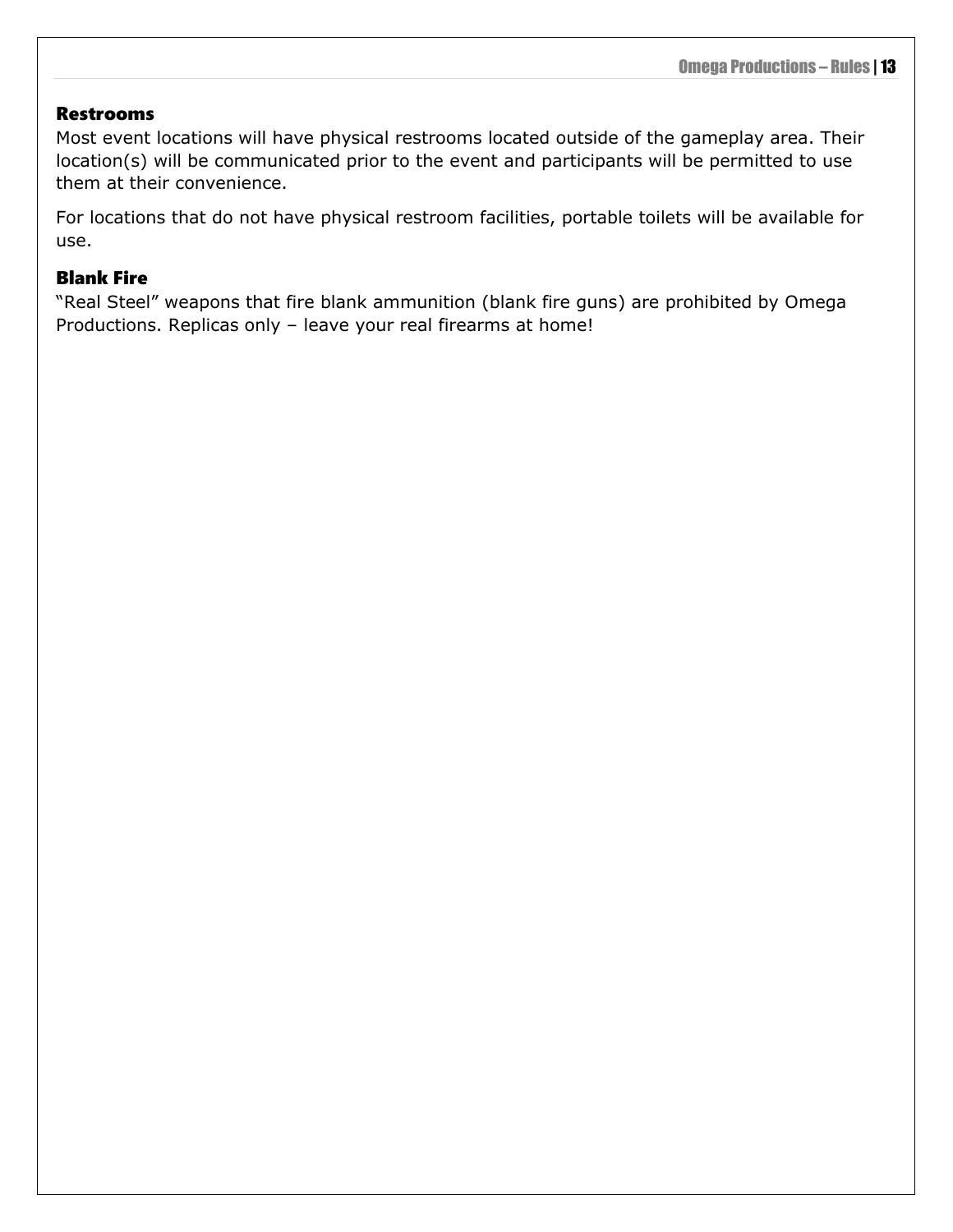#### <span id="page-16-0"></span>Restrooms

Most event locations will have physical restrooms located outside of the gameplay area. Their location(s) will be communicated prior to the event and participants will be permitted to use them at their convenience.

For locations that do not have physical restroom facilities, portable toilets will be available for use.

#### <span id="page-16-1"></span>Blank Fire

"Real Steel" weapons that fire blank ammunition (blank fire guns) are prohibited by Omega Productions. Replicas only – leave your real firearms at home!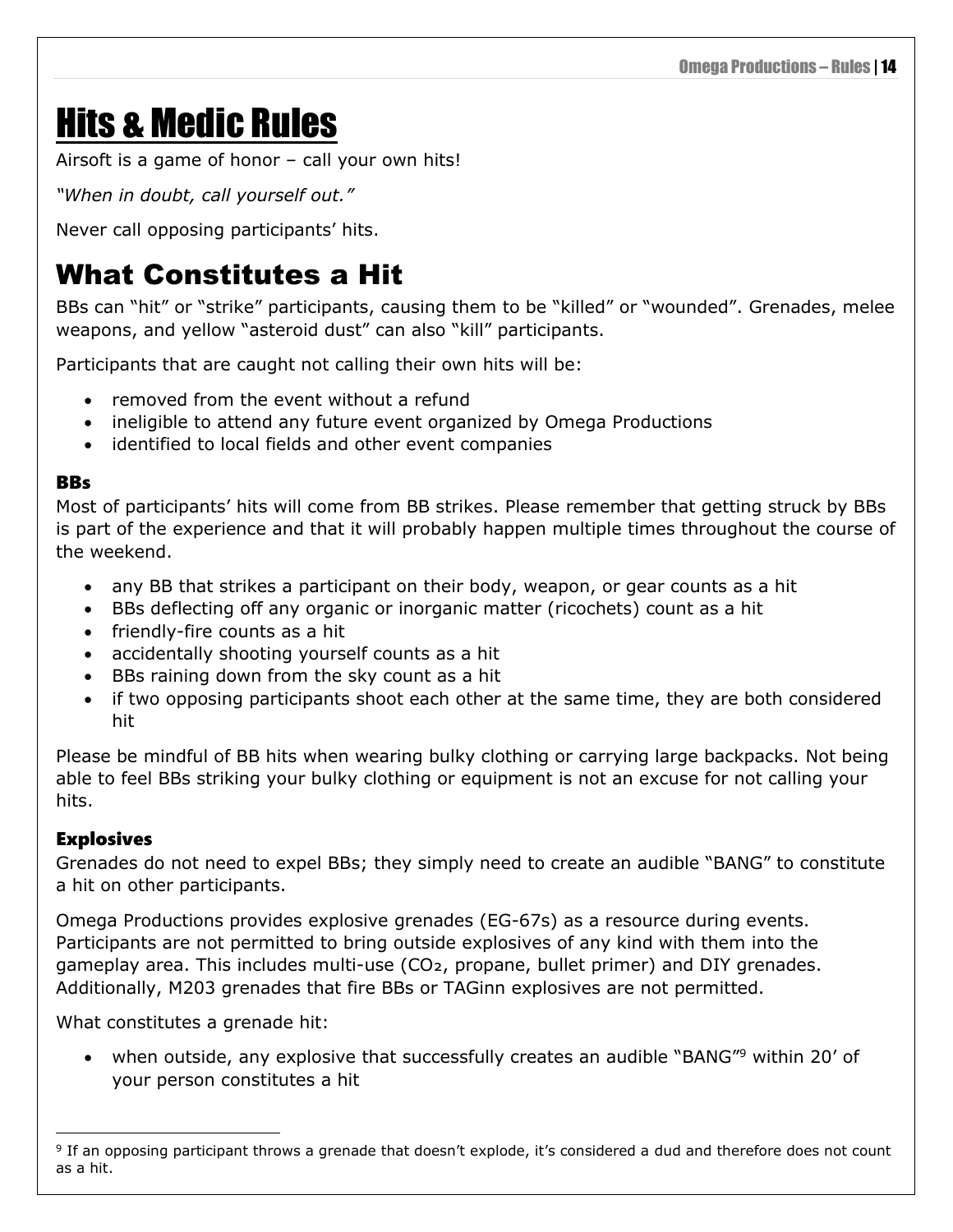# <span id="page-17-0"></span>Hits & Medic Rules

Airsoft is a game of honor – call your own hits!

*"When in doubt, call yourself out."*

Never call opposing participants' hits.

### <span id="page-17-1"></span>What Constitutes a Hit

BBs can "hit" or "strike" participants, causing them to be "killed" or "wounded". Grenades, melee weapons, and yellow "asteroid dust" can also "kill" participants.

Participants that are caught not calling their own hits will be:

- removed from the event without a refund
- ineligible to attend any future event organized by Omega Productions
- identified to local fields and other event companies

#### <span id="page-17-2"></span>**BBs**

Most of participants' hits will come from BB strikes. Please remember that getting struck by BBs is part of the experience and that it will probably happen multiple times throughout the course of the weekend.

- any BB that strikes a participant on their body, weapon, or gear counts as a hit
- BBs deflecting off any organic or inorganic matter (ricochets) count as a hit
- friendly-fire counts as a hit
- accidentally shooting yourself counts as a hit
- BBs raining down from the sky count as a hit
- if two opposing participants shoot each other at the same time, they are both considered hit

Please be mindful of BB hits when wearing bulky clothing or carrying large backpacks. Not being able to feel BBs striking your bulky clothing or equipment is not an excuse for not calling your hits.

#### <span id="page-17-3"></span>Explosives

Grenades do not need to expel BBs; they simply need to create an audible "BANG" to constitute a hit on other participants.

Omega Productions provides explosive grenades (EG-67s) as a resource during events. Participants are not permitted to bring outside explosives of any kind with them into the gameplay area. This includes multi-use (CO2, propane, bullet primer) and DIY grenades. Additionally, M203 grenades that fire BBs or TAGinn explosives are not permitted.

What constitutes a grenade hit:

• when outside, any explosive that successfully creates an audible "BANG"<sup>9</sup> within 20' of your person constitutes a hit

<sup>&</sup>lt;sup>9</sup> If an opposing participant throws a grenade that doesn't explode, it's considered a dud and therefore does not count as a hit.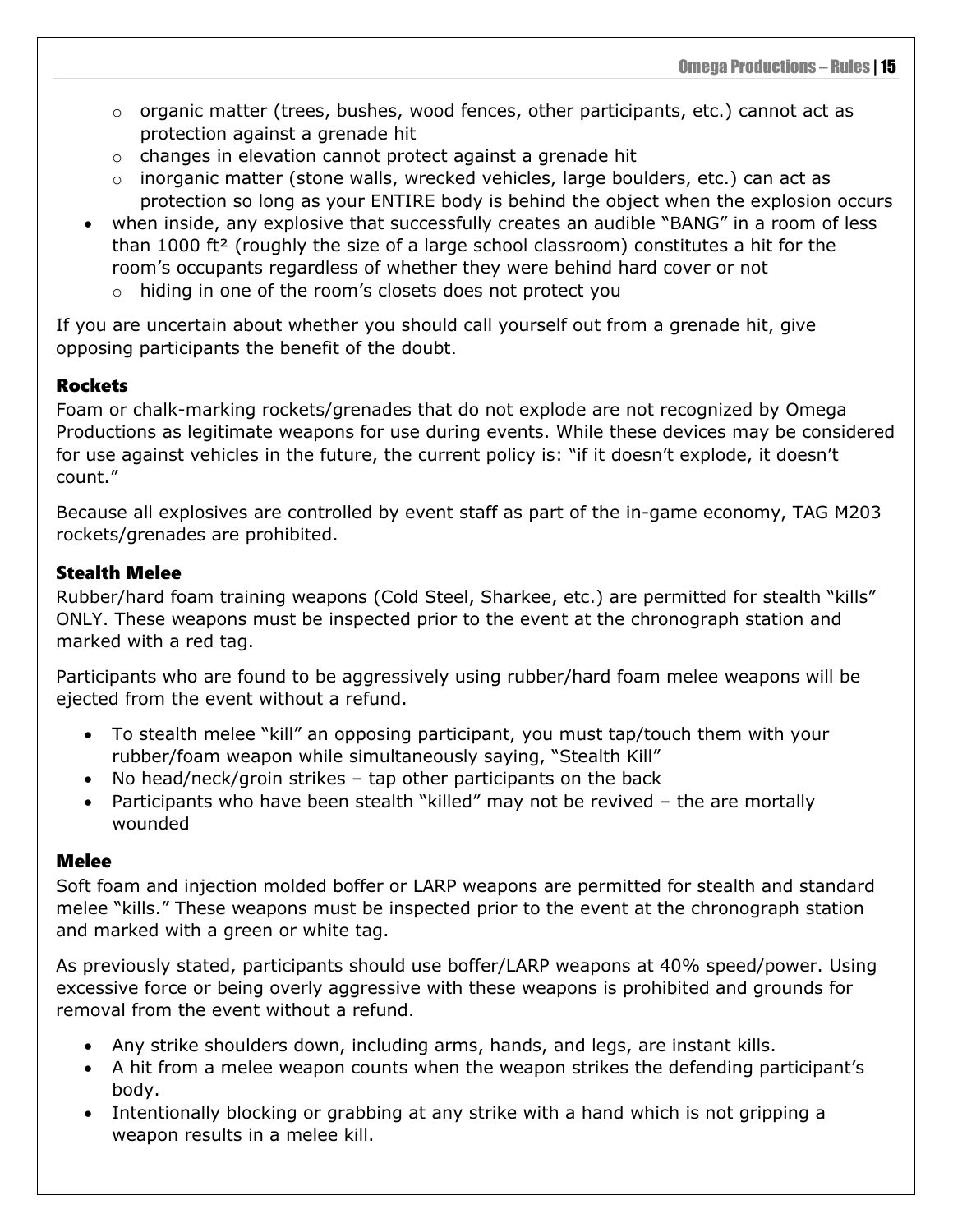- o organic matter (trees, bushes, wood fences, other participants, etc.) cannot act as protection against a grenade hit
- o changes in elevation cannot protect against a grenade hit
- o inorganic matter (stone walls, wrecked vehicles, large boulders, etc.) can act as protection so long as your ENTIRE body is behind the object when the explosion occurs
- when inside, any explosive that successfully creates an audible "BANG" in a room of less than 1000 ft² (roughly the size of a large school classroom) constitutes a hit for the room's occupants regardless of whether they were behind hard cover or not
	- o hiding in one of the room's closets does not protect you

If you are uncertain about whether you should call yourself out from a grenade hit, give opposing participants the benefit of the doubt.

#### <span id="page-18-0"></span>**Rockets**

Foam or chalk-marking rockets/grenades that do not explode are not recognized by Omega Productions as legitimate weapons for use during events. While these devices may be considered for use against vehicles in the future, the current policy is: "if it doesn't explode, it doesn't count."

Because all explosives are controlled by event staff as part of the in-game economy, TAG M203 rockets/grenades are prohibited.

#### <span id="page-18-1"></span>Stealth Melee

Rubber/hard foam training weapons (Cold Steel, Sharkee, etc.) are permitted for stealth "kills" ONLY. These weapons must be inspected prior to the event at the chronograph station and marked with a red tag.

Participants who are found to be aggressively using rubber/hard foam melee weapons will be ejected from the event without a refund.

- To stealth melee "kill" an opposing participant, you must tap/touch them with your rubber/foam weapon while simultaneously saying, "Stealth Kill"
- No head/neck/groin strikes tap other participants on the back
- Participants who have been stealth "killed" may not be revived the are mortally wounded

#### <span id="page-18-2"></span>Melee

Soft foam and injection molded boffer or LARP weapons are permitted for stealth and standard melee "kills." These weapons must be inspected prior to the event at the chronograph station and marked with a green or white tag.

As previously stated, participants should use boffer/LARP weapons at 40% speed/power. Using excessive force or being overly aggressive with these weapons is prohibited and grounds for removal from the event without a refund.

- Any strike shoulders down, including arms, hands, and legs, are instant kills.
- A hit from a melee weapon counts when the weapon strikes the defending participant's body.
- Intentionally blocking or grabbing at any strike with a hand which is not gripping a weapon results in a melee kill.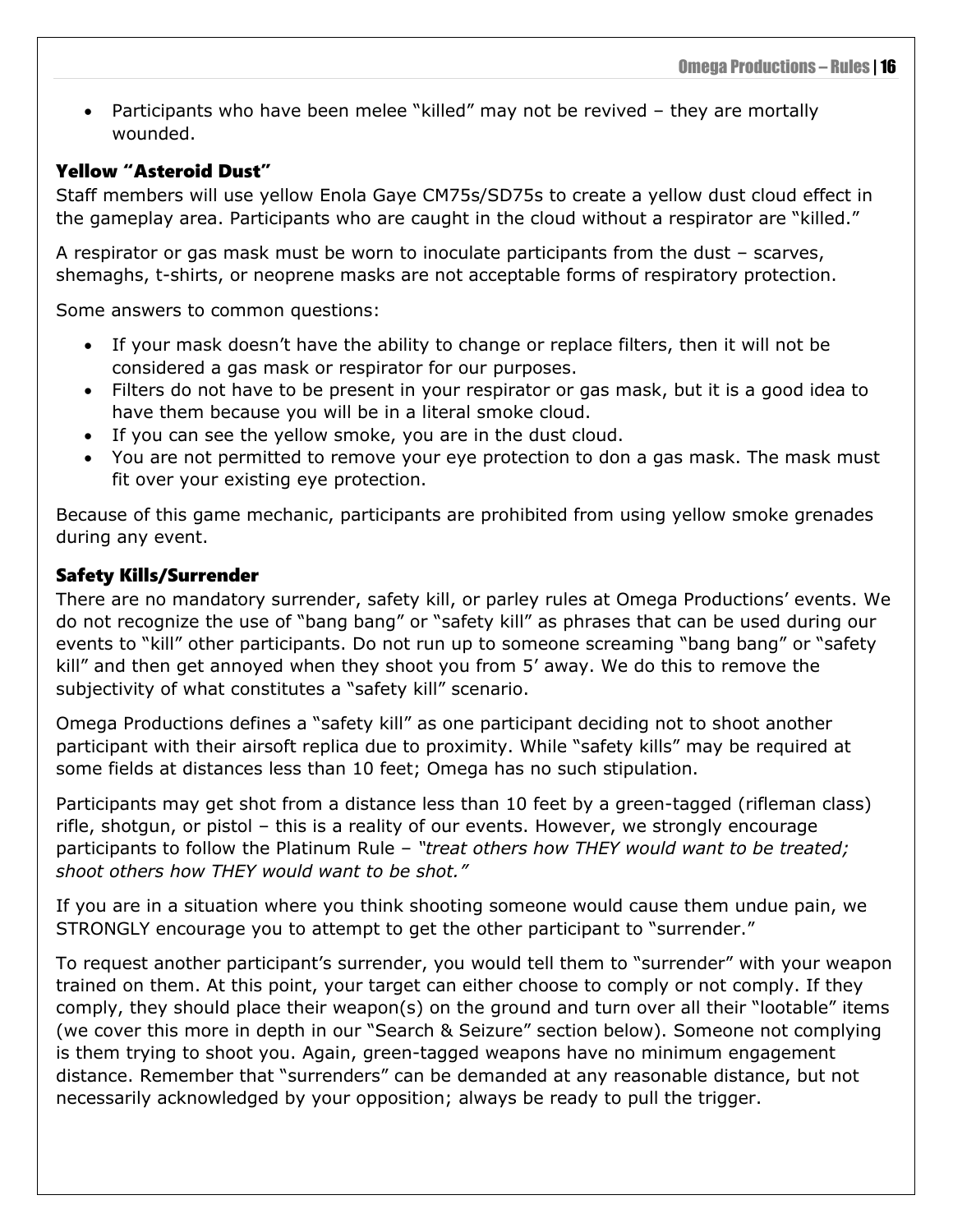• Participants who have been melee "killed" may not be revived - they are mortally wounded.

#### <span id="page-19-0"></span>Yellow "Asteroid Dust"

Staff members will use yellow Enola Gaye CM75s/SD75s to create a yellow dust cloud effect in the gameplay area. Participants who are caught in the cloud without a respirator are "killed."

A respirator or gas mask must be worn to inoculate participants from the dust – scarves, shemaghs, t-shirts, or neoprene masks are not acceptable forms of respiratory protection.

Some answers to common questions:

- If your mask doesn't have the ability to change or replace filters, then it will not be considered a gas mask or respirator for our purposes.
- Filters do not have to be present in your respirator or gas mask, but it is a good idea to have them because you will be in a literal smoke cloud.
- If you can see the yellow smoke, you are in the dust cloud.
- You are not permitted to remove your eye protection to don a gas mask. The mask must fit over your existing eye protection.

Because of this game mechanic, participants are prohibited from using yellow smoke grenades during any event.

#### <span id="page-19-1"></span>Safety Kills/Surrender

There are no mandatory surrender, safety kill, or parley rules at Omega Productions' events. We do not recognize the use of "bang bang" or "safety kill" as phrases that can be used during our events to "kill" other participants. Do not run up to someone screaming "bang bang" or "safety kill" and then get annoyed when they shoot you from 5' away. We do this to remove the subjectivity of what constitutes a "safety kill" scenario.

Omega Productions defines a "safety kill" as one participant deciding not to shoot another participant with their airsoft replica due to proximity. While "safety kills" may be required at some fields at distances less than 10 feet; Omega has no such stipulation.

Participants may get shot from a distance less than 10 feet by a green-tagged (rifleman class) rifle, shotgun, or pistol – this is a reality of our events. However, we strongly encourage participants to follow the Platinum Rule – *"treat others how THEY would want to be treated; shoot others how THEY would want to be shot."*

If you are in a situation where you think shooting someone would cause them undue pain, we STRONGLY encourage you to attempt to get the other participant to "surrender."

To request another participant's surrender, you would tell them to "surrender" with your weapon trained on them. At this point, your target can either choose to comply or not comply. If they comply, they should place their weapon(s) on the ground and turn over all their "lootable" items (we cover this more in depth in our "Search & Seizure" section below). Someone not complying is them trying to shoot you. Again, green-tagged weapons have no minimum engagement distance. Remember that "surrenders" can be demanded at any reasonable distance, but not necessarily acknowledged by your opposition; always be ready to pull the trigger.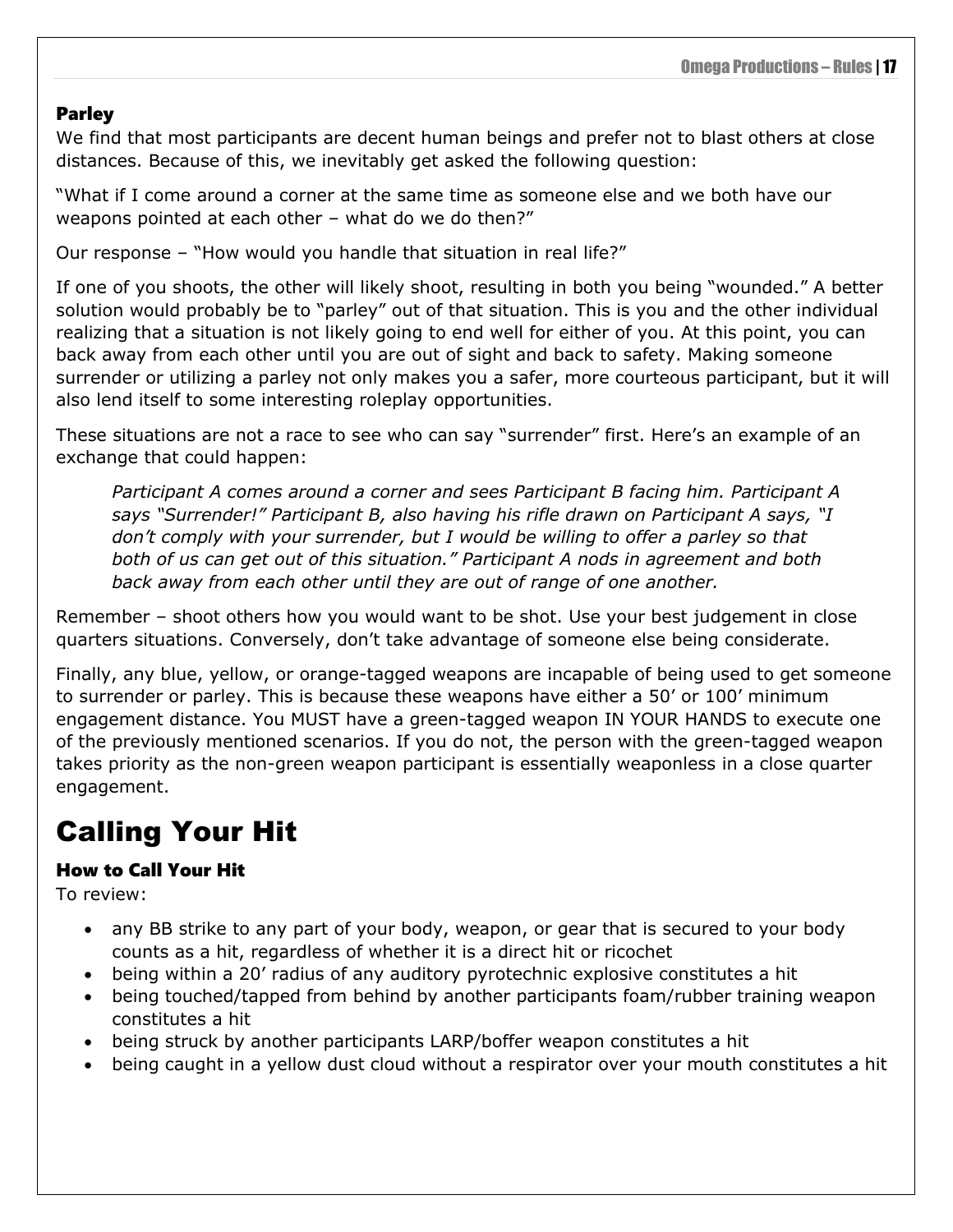### <span id="page-20-0"></span>Parley

We find that most participants are decent human beings and prefer not to blast others at close distances. Because of this, we inevitably get asked the following question:

"What if I come around a corner at the same time as someone else and we both have our weapons pointed at each other – what do we do then?"

Our response – "How would you handle that situation in real life?"

If one of you shoots, the other will likely shoot, resulting in both you being "wounded." A better solution would probably be to "parley" out of that situation. This is you and the other individual realizing that a situation is not likely going to end well for either of you. At this point, you can back away from each other until you are out of sight and back to safety. Making someone surrender or utilizing a parley not only makes you a safer, more courteous participant, but it will also lend itself to some interesting roleplay opportunities.

These situations are not a race to see who can say "surrender" first. Here's an example of an exchange that could happen:

*Participant A comes around a corner and sees Participant B facing him. Participant A says "Surrender!" Participant B, also having his rifle drawn on Participant A says, "I don't comply with your surrender, but I would be willing to offer a parley so that both of us can get out of this situation." Participant A nods in agreement and both back away from each other until they are out of range of one another.*

Remember – shoot others how you would want to be shot. Use your best judgement in close quarters situations. Conversely, don't take advantage of someone else being considerate.

Finally, any blue, yellow, or orange-tagged weapons are incapable of being used to get someone to surrender or parley. This is because these weapons have either a 50' or 100' minimum engagement distance. You MUST have a green-tagged weapon IN YOUR HANDS to execute one of the previously mentioned scenarios. If you do not, the person with the green-tagged weapon takes priority as the non-green weapon participant is essentially weaponless in a close quarter engagement.

### <span id="page-20-1"></span>Calling Your Hit

### <span id="page-20-2"></span>How to Call Your Hit

To review:

- any BB strike to any part of your body, weapon, or gear that is secured to your body counts as a hit, regardless of whether it is a direct hit or ricochet
- being within a 20' radius of any auditory pyrotechnic explosive constitutes a hit
- being touched/tapped from behind by another participants foam/rubber training weapon constitutes a hit
- being struck by another participants LARP/boffer weapon constitutes a hit
- being caught in a yellow dust cloud without a respirator over your mouth constitutes a hit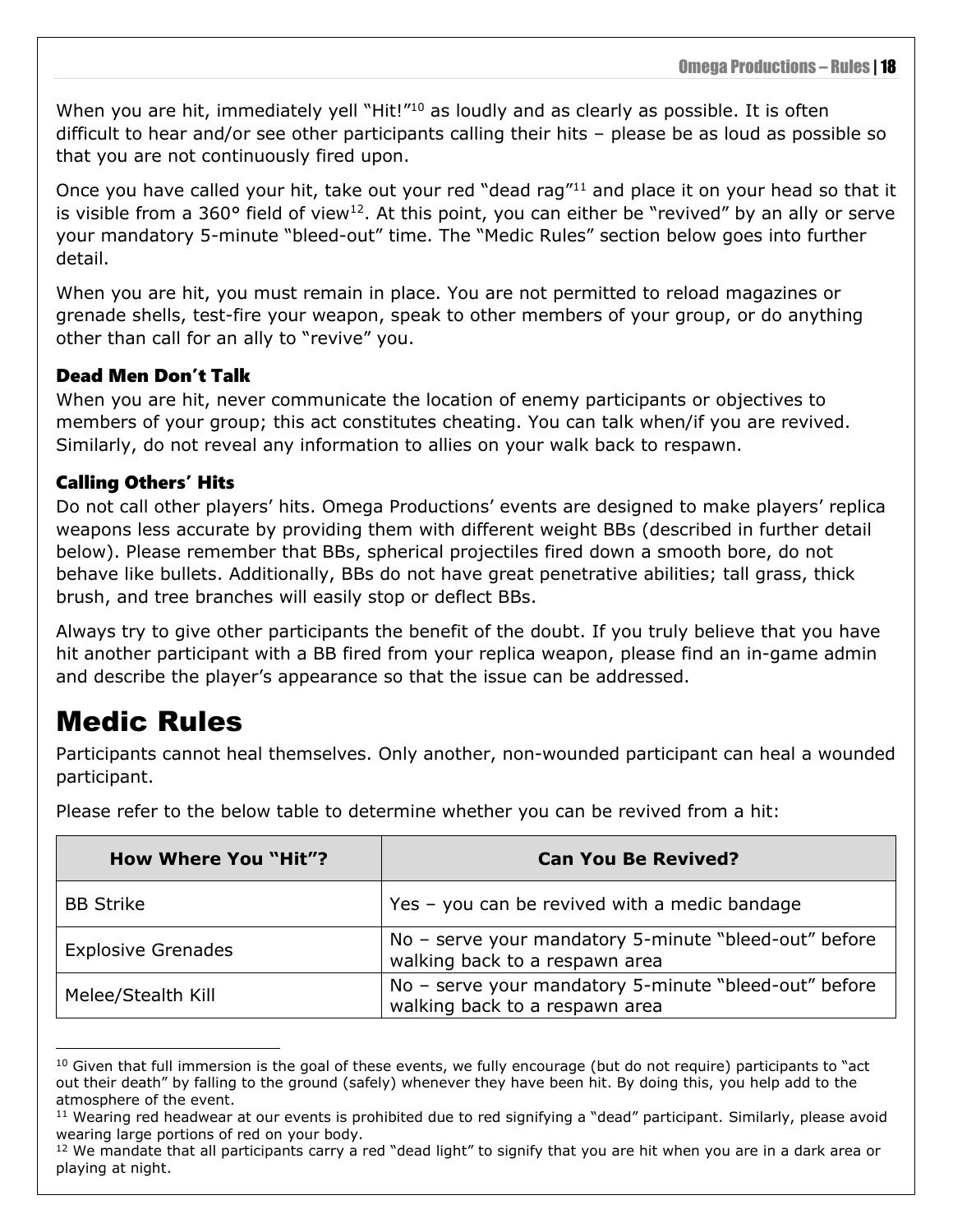When you are hit, immediately yell "Hit!"<sup>10</sup> as loudly and as clearly as possible. It is often difficult to hear and/or see other participants calling their hits – please be as loud as possible so that you are not continuously fired upon.

Once you have called your hit, take out your red "dead rag"<sup>11</sup> and place it on your head so that it is visible from a 360° field of view<sup>12</sup>. At this point, you can either be "revived" by an ally or serve your mandatory 5-minute "bleed-out" time. The "Medic Rules" section below goes into further detail.

When you are hit, you must remain in place. You are not permitted to reload magazines or grenade shells, test-fire your weapon, speak to other members of your group, or do anything other than call for an ally to "revive" you.

### <span id="page-21-0"></span>Dead Men Don't Talk

When you are hit, never communicate the location of enemy participants or objectives to members of your group; this act constitutes cheating. You can talk when/if you are revived. Similarly, do not reveal any information to allies on your walk back to respawn.

### <span id="page-21-1"></span>Calling Others' Hits

Do not call other players' hits. Omega Productions' events are designed to make players' replica weapons less accurate by providing them with different weight BBs (described in further detail below). Please remember that BBs, spherical projectiles fired down a smooth bore, do not behave like bullets. Additionally, BBs do not have great penetrative abilities; tall grass, thick brush, and tree branches will easily stop or deflect BBs.

Always try to give other participants the benefit of the doubt. If you truly believe that you have hit another participant with a BB fired from your replica weapon, please find an in-game admin and describe the player's appearance so that the issue can be addressed.

### <span id="page-21-2"></span>Medic Rules

Participants cannot heal themselves. Only another, non-wounded participant can heal a wounded participant.

| <b>How Where You "Hit"?</b> | <b>Can You Be Revived?</b>                                                              |
|-----------------------------|-----------------------------------------------------------------------------------------|
| <b>BB Strike</b>            | Yes - you can be revived with a medic bandage                                           |
| <b>Explosive Grenades</b>   | No - serve your mandatory 5-minute "bleed-out" before<br>walking back to a respawn area |
| Melee/Stealth Kill          | No - serve your mandatory 5-minute "bleed-out" before<br>walking back to a respawn area |

Please refer to the below table to determine whether you can be revived from a hit:

 $10$  Given that full immersion is the goal of these events, we fully encourage (but do not require) participants to "act out their death" by falling to the ground (safely) whenever they have been hit. By doing this, you help add to the atmosphere of the event.

<sup>&</sup>lt;sup>11</sup> Wearing red headwear at our events is prohibited due to red signifying a "dead" participant. Similarly, please avoid wearing large portions of red on your body.

 $12$  We mandate that all participants carry a red "dead light" to signify that you are hit when you are in a dark area or playing at night.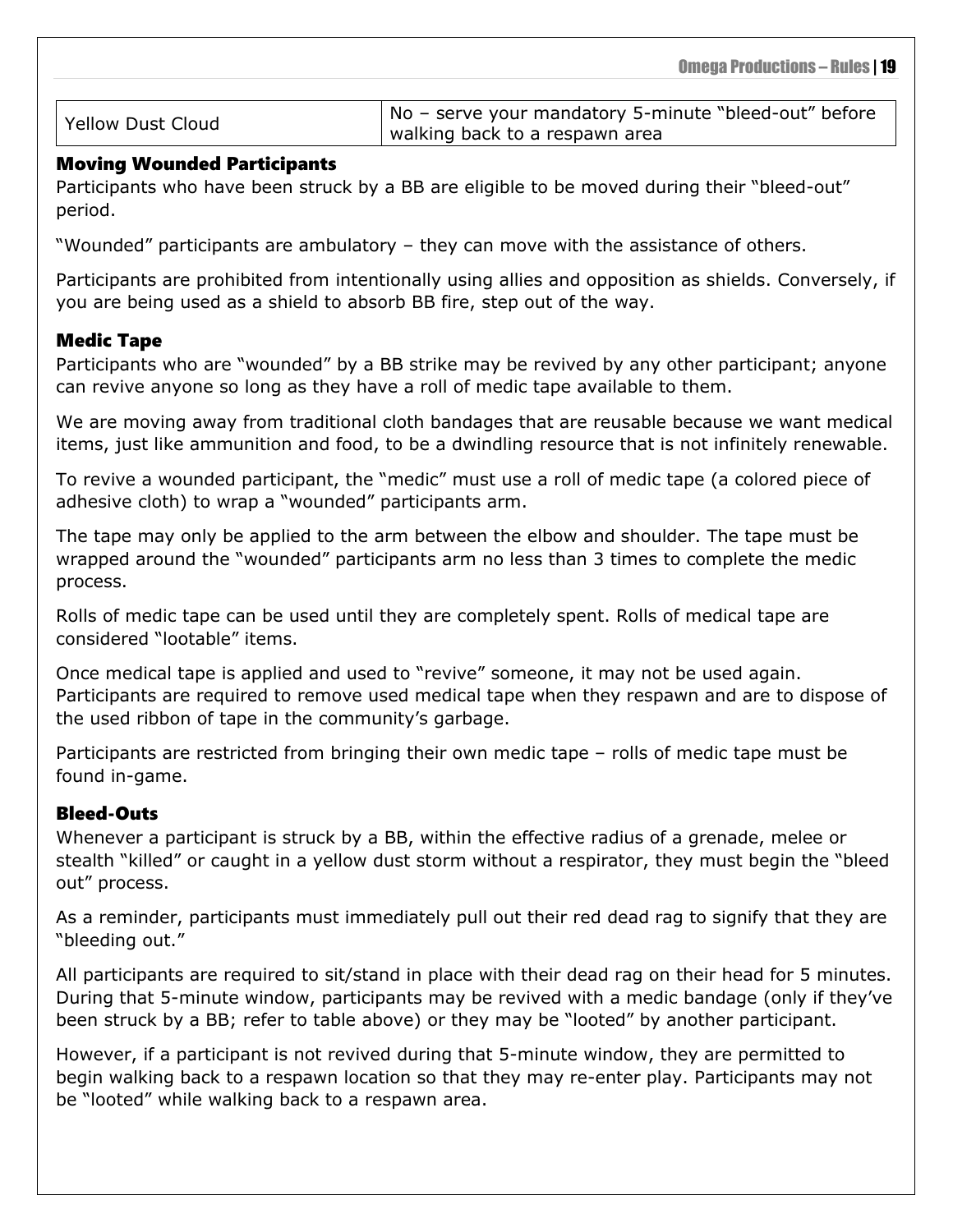Yellow Dust Cloud **No** – serve your mandatory 5-minute "bleed-out" before walking back to a respawn area

#### <span id="page-22-0"></span>Moving Wounded Participants

Participants who have been struck by a BB are eligible to be moved during their "bleed-out" period.

"Wounded" participants are ambulatory – they can move with the assistance of others.

Participants are prohibited from intentionally using allies and opposition as shields. Conversely, if you are being used as a shield to absorb BB fire, step out of the way.

#### <span id="page-22-1"></span>Medic Tape

Participants who are "wounded" by a BB strike may be revived by any other participant; anyone can revive anyone so long as they have a roll of medic tape available to them.

We are moving away from traditional cloth bandages that are reusable because we want medical items, just like ammunition and food, to be a dwindling resource that is not infinitely renewable.

To revive a wounded participant, the "medic" must use a roll of medic tape (a colored piece of adhesive cloth) to wrap a "wounded" participants arm.

The tape may only be applied to the arm between the elbow and shoulder. The tape must be wrapped around the "wounded" participants arm no less than 3 times to complete the medic process.

Rolls of medic tape can be used until they are completely spent. Rolls of medical tape are considered "lootable" items.

Once medical tape is applied and used to "revive" someone, it may not be used again. Participants are required to remove used medical tape when they respawn and are to dispose of the used ribbon of tape in the community's garbage.

Participants are restricted from bringing their own medic tape – rolls of medic tape must be found in-game.

#### <span id="page-22-2"></span>Bleed-Outs

Whenever a participant is struck by a BB, within the effective radius of a grenade, melee or stealth "killed" or caught in a yellow dust storm without a respirator, they must begin the "bleed out" process.

As a reminder, participants must immediately pull out their red dead rag to signify that they are "bleeding out."

All participants are required to sit/stand in place with their dead rag on their head for 5 minutes. During that 5-minute window, participants may be revived with a medic bandage (only if they've been struck by a BB; refer to table above) or they may be "looted" by another participant.

However, if a participant is not revived during that 5-minute window, they are permitted to begin walking back to a respawn location so that they may re-enter play. Participants may not be "looted" while walking back to a respawn area.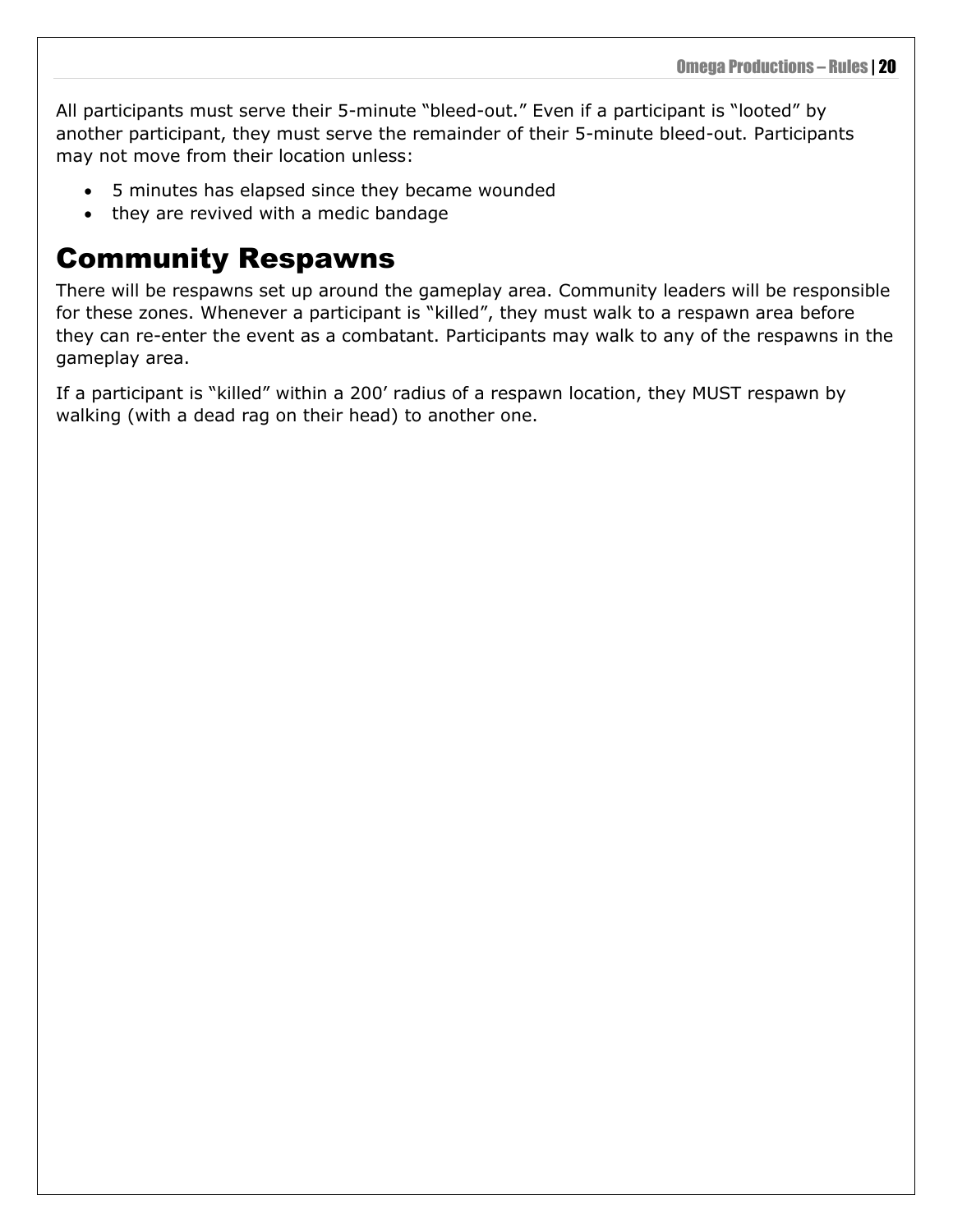All participants must serve their 5-minute "bleed-out." Even if a participant is "looted" by another participant, they must serve the remainder of their 5-minute bleed-out. Participants may not move from their location unless:

- 5 minutes has elapsed since they became wounded
- they are revived with a medic bandage

### <span id="page-23-0"></span>Community Respawns

There will be respawns set up around the gameplay area. Community leaders will be responsible for these zones. Whenever a participant is "killed", they must walk to a respawn area before they can re-enter the event as a combatant. Participants may walk to any of the respawns in the gameplay area.

If a participant is "killed" within a 200' radius of a respawn location, they MUST respawn by walking (with a dead rag on their head) to another one.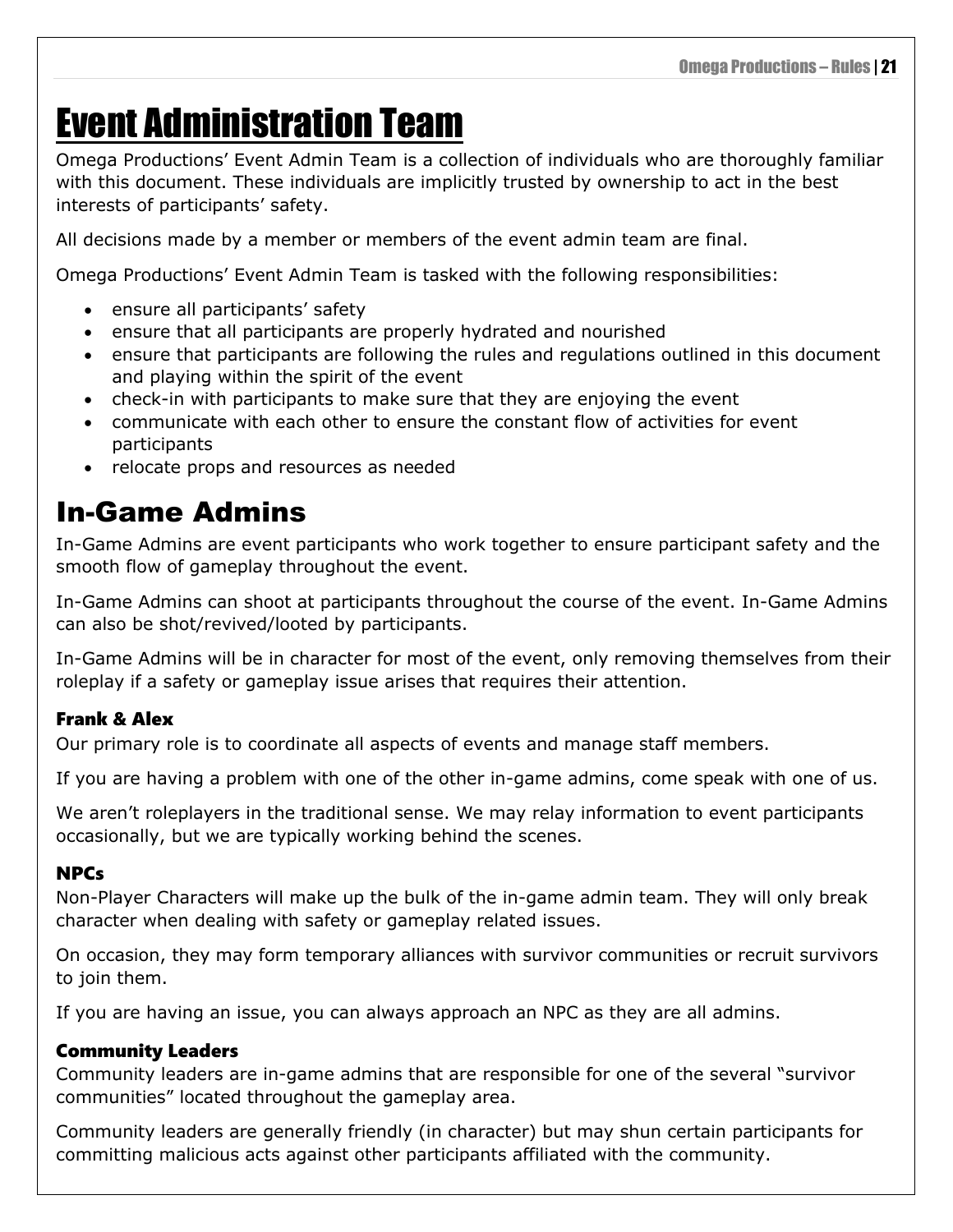# <span id="page-24-0"></span>Event Administration Team

Omega Productions' Event Admin Team is a collection of individuals who are thoroughly familiar with this document. These individuals are implicitly trusted by ownership to act in the best interests of participants' safety.

All decisions made by a member or members of the event admin team are final.

Omega Productions' Event Admin Team is tasked with the following responsibilities:

- ensure all participants' safety
- ensure that all participants are properly hydrated and nourished
- ensure that participants are following the rules and regulations outlined in this document and playing within the spirit of the event
- check-in with participants to make sure that they are enjoying the event
- communicate with each other to ensure the constant flow of activities for event participants
- relocate props and resources as needed

### <span id="page-24-1"></span>In-Game Admins

In-Game Admins are event participants who work together to ensure participant safety and the smooth flow of gameplay throughout the event.

In-Game Admins can shoot at participants throughout the course of the event. In-Game Admins can also be shot/revived/looted by participants.

In-Game Admins will be in character for most of the event, only removing themselves from their roleplay if a safety or gameplay issue arises that requires their attention.

### <span id="page-24-2"></span>Frank & Alex

Our primary role is to coordinate all aspects of events and manage staff members.

If you are having a problem with one of the other in-game admins, come speak with one of us.

We aren't roleplayers in the traditional sense. We may relay information to event participants occasionally, but we are typically working behind the scenes.

#### <span id="page-24-3"></span>NPCs

Non-Player Characters will make up the bulk of the in-game admin team. They will only break character when dealing with safety or gameplay related issues.

On occasion, they may form temporary alliances with survivor communities or recruit survivors to join them.

If you are having an issue, you can always approach an NPC as they are all admins.

#### <span id="page-24-4"></span>Community Leaders

Community leaders are in-game admins that are responsible for one of the several "survivor communities" located throughout the gameplay area.

Community leaders are generally friendly (in character) but may shun certain participants for committing malicious acts against other participants affiliated with the community.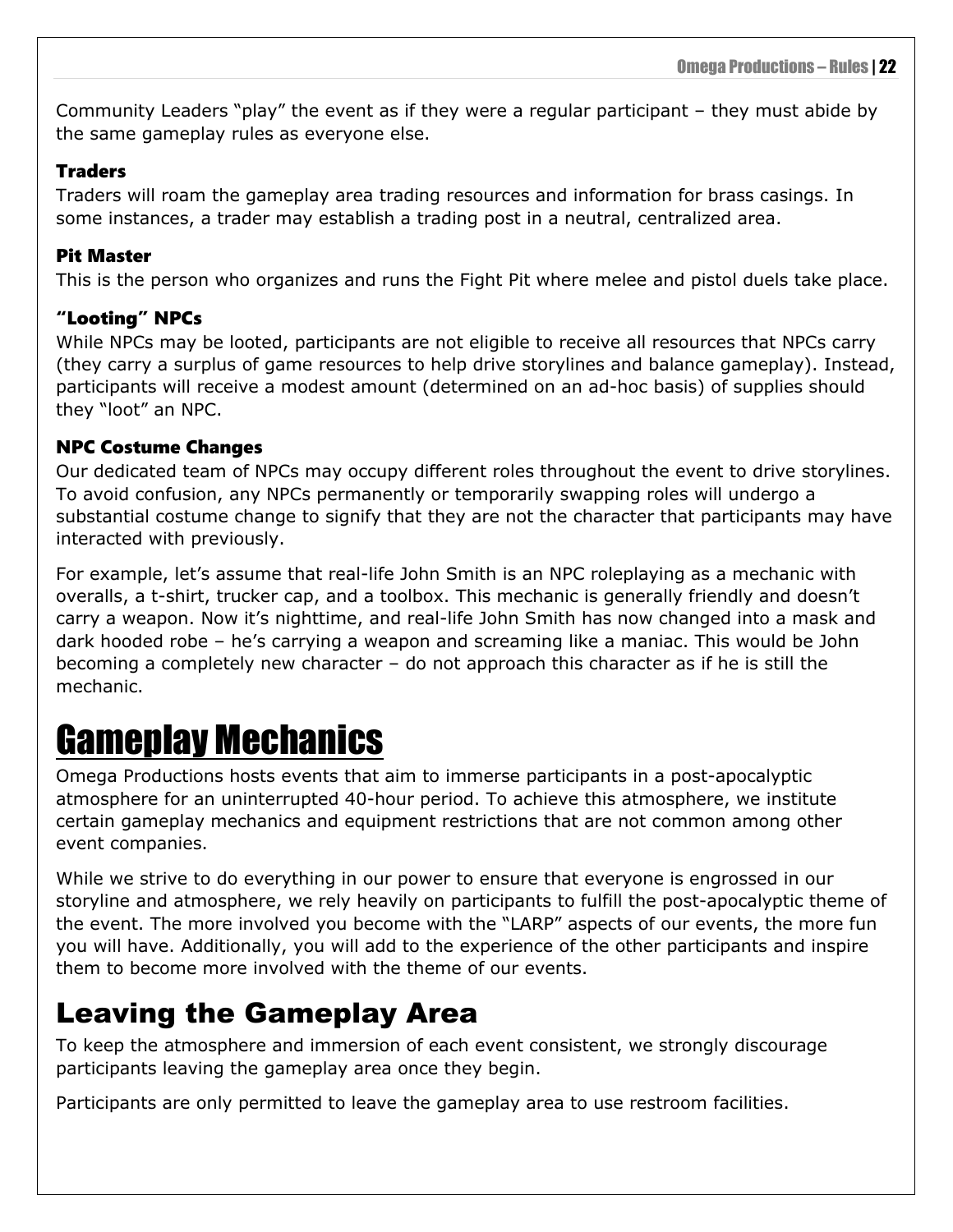Community Leaders "play" the event as if they were a regular participant – they must abide by the same gameplay rules as everyone else.

#### <span id="page-25-0"></span>Traders

Traders will roam the gameplay area trading resources and information for brass casings. In some instances, a trader may establish a trading post in a neutral, centralized area.

#### <span id="page-25-1"></span>Pit Master

This is the person who organizes and runs the Fight Pit where melee and pistol duels take place.

### <span id="page-25-2"></span>"Looting" NPCs

While NPCs may be looted, participants are not eligible to receive all resources that NPCs carry (they carry a surplus of game resources to help drive storylines and balance gameplay). Instead, participants will receive a modest amount (determined on an ad-hoc basis) of supplies should they "loot" an NPC.

#### <span id="page-25-3"></span>NPC Costume Changes

Our dedicated team of NPCs may occupy different roles throughout the event to drive storylines. To avoid confusion, any NPCs permanently or temporarily swapping roles will undergo a substantial costume change to signify that they are not the character that participants may have interacted with previously.

For example, let's assume that real-life John Smith is an NPC roleplaying as a mechanic with overalls, a t-shirt, trucker cap, and a toolbox. This mechanic is generally friendly and doesn't carry a weapon. Now it's nighttime, and real-life John Smith has now changed into a mask and dark hooded robe – he's carrying a weapon and screaming like a maniac. This would be John becoming a completely new character – do not approach this character as if he is still the mechanic.

## <span id="page-25-4"></span>Gameplay Mechanics

Omega Productions hosts events that aim to immerse participants in a post-apocalyptic atmosphere for an uninterrupted 40-hour period. To achieve this atmosphere, we institute certain gameplay mechanics and equipment restrictions that are not common among other event companies.

While we strive to do everything in our power to ensure that everyone is engrossed in our storyline and atmosphere, we rely heavily on participants to fulfill the post-apocalyptic theme of the event. The more involved you become with the "LARP" aspects of our events, the more fun you will have. Additionally, you will add to the experience of the other participants and inspire them to become more involved with the theme of our events.

### <span id="page-25-5"></span>Leaving the Gameplay Area

To keep the atmosphere and immersion of each event consistent, we strongly discourage participants leaving the gameplay area once they begin.

Participants are only permitted to leave the gameplay area to use restroom facilities.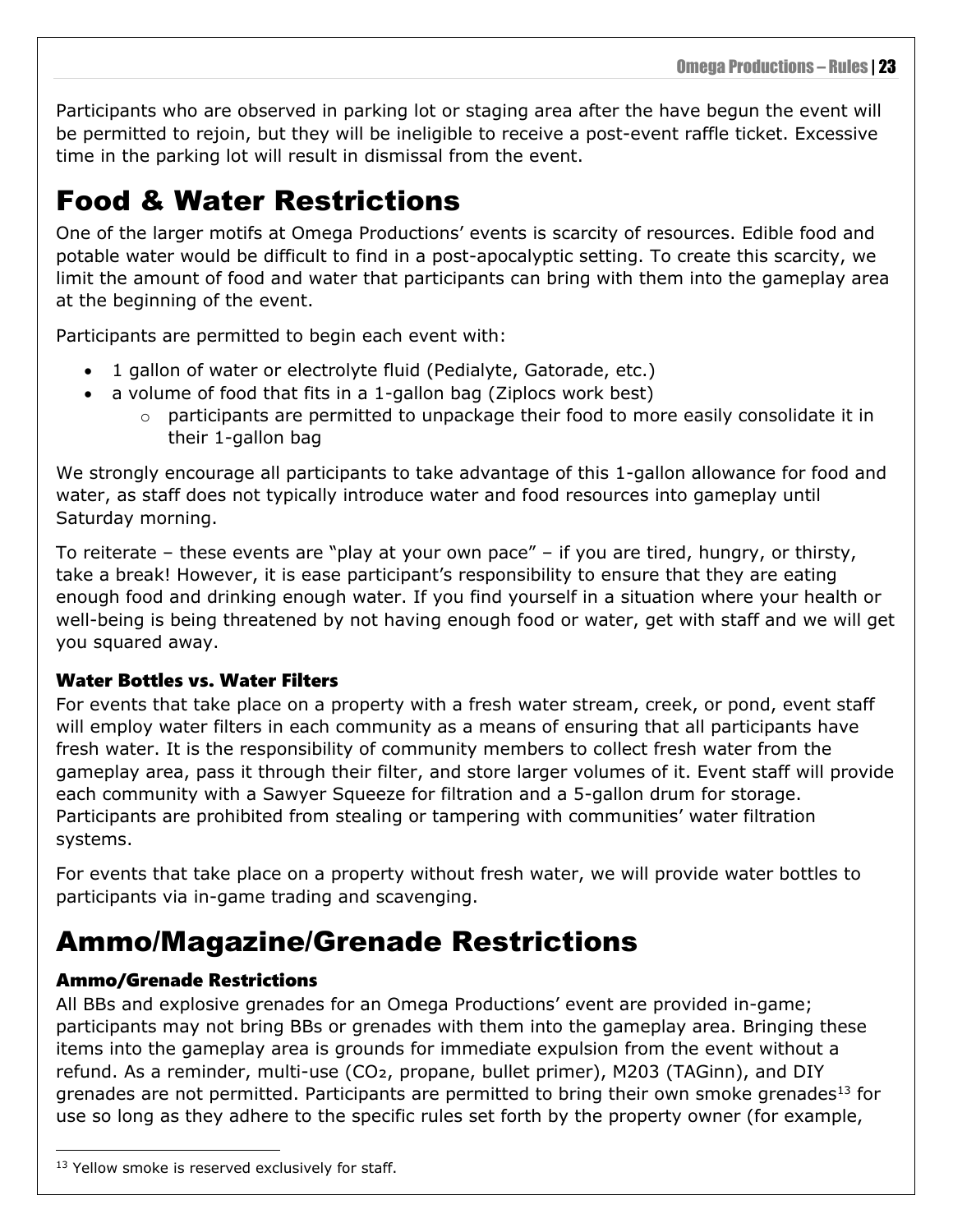Participants who are observed in parking lot or staging area after the have begun the event will be permitted to rejoin, but they will be ineligible to receive a post-event raffle ticket. Excessive time in the parking lot will result in dismissal from the event.

### <span id="page-26-0"></span>Food & Water Restrictions

One of the larger motifs at Omega Productions' events is scarcity of resources. Edible food and potable water would be difficult to find in a post-apocalyptic setting. To create this scarcity, we limit the amount of food and water that participants can bring with them into the gameplay area at the beginning of the event.

Participants are permitted to begin each event with:

- 1 gallon of water or electrolyte fluid (Pedialyte, Gatorade, etc.)
- a volume of food that fits in a 1-gallon bag (Ziplocs work best)
	- o participants are permitted to unpackage their food to more easily consolidate it in their 1-gallon bag

We strongly encourage all participants to take advantage of this 1-gallon allowance for food and water, as staff does not typically introduce water and food resources into gameplay until Saturday morning.

To reiterate – these events are "play at your own pace" – if you are tired, hungry, or thirsty, take a break! However, it is ease participant's responsibility to ensure that they are eating enough food and drinking enough water. If you find yourself in a situation where your health or well-being is being threatened by not having enough food or water, get with staff and we will get you squared away.

### <span id="page-26-1"></span>Water Bottles vs. Water Filters

For events that take place on a property with a fresh water stream, creek, or pond, event staff will employ water filters in each community as a means of ensuring that all participants have fresh water. It is the responsibility of community members to collect fresh water from the gameplay area, pass it through their filter, and store larger volumes of it. Event staff will provide each community with a Sawyer Squeeze for filtration and a 5-gallon drum for storage. Participants are prohibited from stealing or tampering with communities' water filtration systems.

For events that take place on a property without fresh water, we will provide water bottles to participants via in-game trading and scavenging.

### <span id="page-26-2"></span>Ammo/Magazine/Grenade Restrictions

### <span id="page-26-3"></span>Ammo/Grenade Restrictions

All BBs and explosive grenades for an Omega Productions' event are provided in-game; participants may not bring BBs or grenades with them into the gameplay area. Bringing these items into the gameplay area is grounds for immediate expulsion from the event without a refund. As a reminder, multi-use (CO2, propane, bullet primer), M203 (TAGinn), and DIY grenades are not permitted. Participants are permitted to bring their own smoke grenades<sup>13</sup> for use so long as they adhere to the specific rules set forth by the property owner (for example,

<sup>&</sup>lt;sup>13</sup> Yellow smoke is reserved exclusively for staff.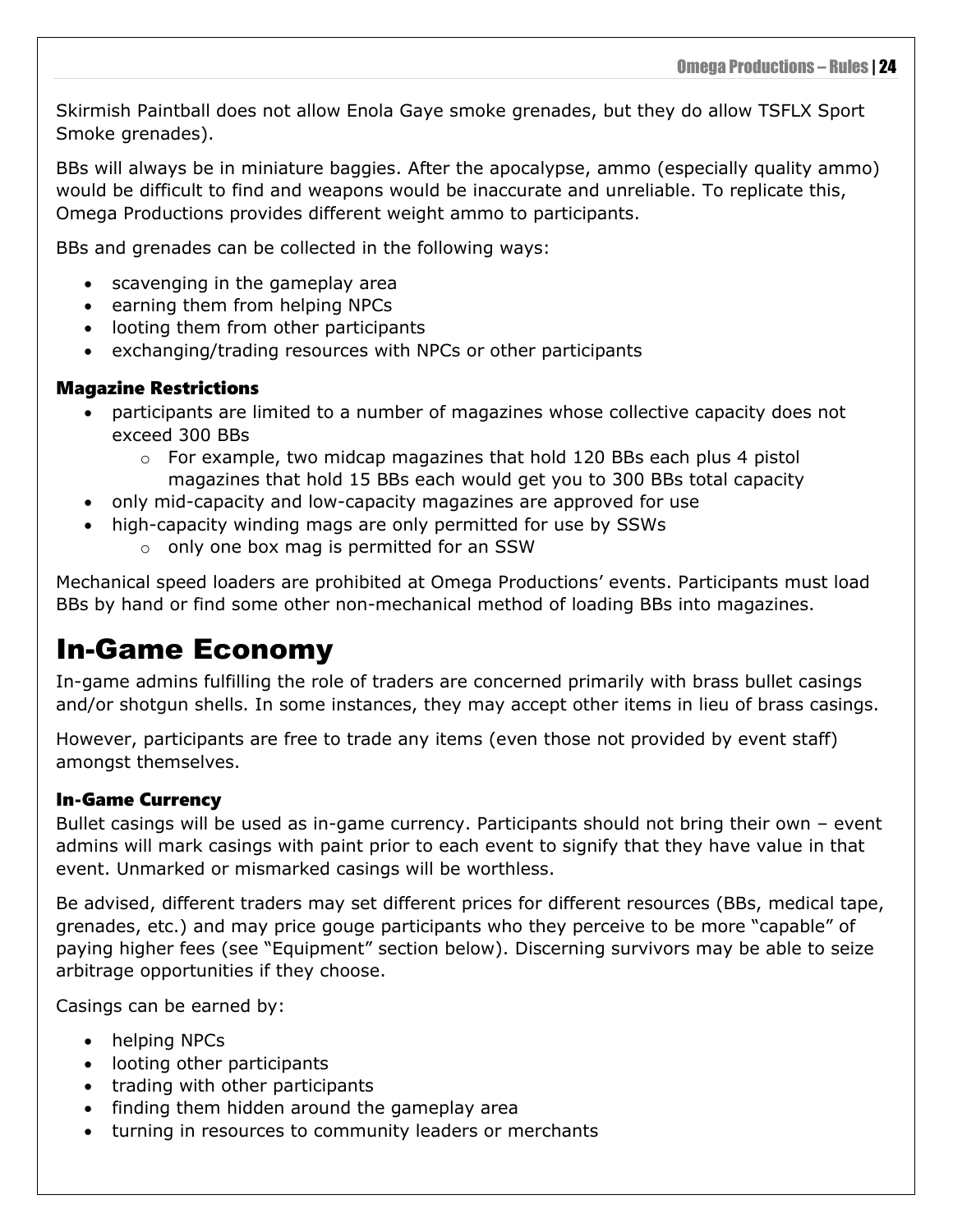Skirmish Paintball does not allow Enola Gaye smoke grenades, but they do allow TSFLX Sport Smoke grenades).

BBs will always be in miniature baggies. After the apocalypse, ammo (especially quality ammo) would be difficult to find and weapons would be inaccurate and unreliable. To replicate this, Omega Productions provides different weight ammo to participants.

BBs and grenades can be collected in the following ways:

- scavenging in the gameplay area
- earning them from helping NPCs
- looting them from other participants
- exchanging/trading resources with NPCs or other participants

#### <span id="page-27-0"></span>Magazine Restrictions

- participants are limited to a number of magazines whose collective capacity does not exceed 300 BBs
	- $\circ$  For example, two midcap magazines that hold 120 BBs each plus 4 pistol magazines that hold 15 BBs each would get you to 300 BBs total capacity
- only mid-capacity and low-capacity magazines are approved for use
- high-capacity winding mags are only permitted for use by SSWs
	- o only one box mag is permitted for an SSW

Mechanical speed loaders are prohibited at Omega Productions' events. Participants must load BBs by hand or find some other non-mechanical method of loading BBs into magazines.

### <span id="page-27-1"></span>In-Game Economy

In-game admins fulfilling the role of traders are concerned primarily with brass bullet casings and/or shotgun shells. In some instances, they may accept other items in lieu of brass casings.

However, participants are free to trade any items (even those not provided by event staff) amongst themselves.

#### <span id="page-27-2"></span>In-Game Currency

Bullet casings will be used as in-game currency. Participants should not bring their own – event admins will mark casings with paint prior to each event to signify that they have value in that event. Unmarked or mismarked casings will be worthless.

Be advised, different traders may set different prices for different resources (BBs, medical tape, grenades, etc.) and may price gouge participants who they perceive to be more "capable" of paying higher fees (see "Equipment" section below). Discerning survivors may be able to seize arbitrage opportunities if they choose.

Casings can be earned by:

- helping NPCs
- looting other participants
- trading with other participants
- finding them hidden around the gameplay area
- turning in resources to community leaders or merchants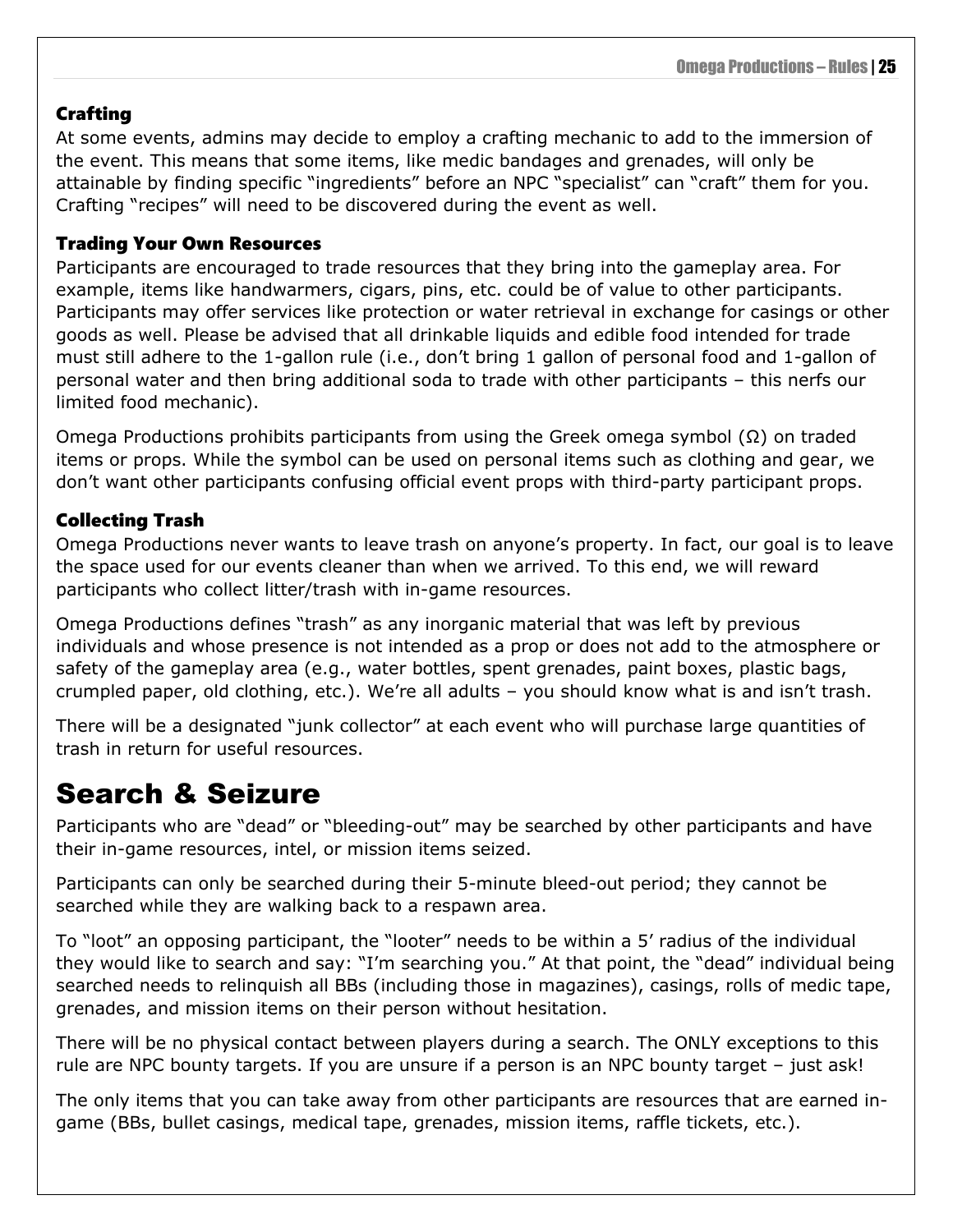#### <span id="page-28-0"></span>**Crafting**

At some events, admins may decide to employ a crafting mechanic to add to the immersion of the event. This means that some items, like medic bandages and grenades, will only be attainable by finding specific "ingredients" before an NPC "specialist" can "craft" them for you. Crafting "recipes" will need to be discovered during the event as well.

#### <span id="page-28-1"></span>Trading Your Own Resources

Participants are encouraged to trade resources that they bring into the gameplay area. For example, items like handwarmers, cigars, pins, etc. could be of value to other participants. Participants may offer services like protection or water retrieval in exchange for casings or other goods as well. Please be advised that all drinkable liquids and edible food intended for trade must still adhere to the 1-gallon rule (i.e., don't bring 1 gallon of personal food and 1-gallon of personal water and then bring additional soda to trade with other participants – this nerfs our limited food mechanic).

Omega Productions prohibits participants from using the Greek omega symbol (Ω) on traded items or props. While the symbol can be used on personal items such as clothing and gear, we don't want other participants confusing official event props with third-party participant props.

#### <span id="page-28-2"></span>Collecting Trash

Omega Productions never wants to leave trash on anyone's property. In fact, our goal is to leave the space used for our events cleaner than when we arrived. To this end, we will reward participants who collect litter/trash with in-game resources.

Omega Productions defines "trash" as any inorganic material that was left by previous individuals and whose presence is not intended as a prop or does not add to the atmosphere or safety of the gameplay area (e.g., water bottles, spent grenades, paint boxes, plastic bags, crumpled paper, old clothing, etc.). We're all adults – you should know what is and isn't trash.

There will be a designated "junk collector" at each event who will purchase large quantities of trash in return for useful resources.

### <span id="page-28-3"></span>Search & Seizure

Participants who are "dead" or "bleeding-out" may be searched by other participants and have their in-game resources, intel, or mission items seized.

Participants can only be searched during their 5-minute bleed-out period; they cannot be searched while they are walking back to a respawn area.

To "loot" an opposing participant, the "looter" needs to be within a 5' radius of the individual they would like to search and say: "I'm searching you." At that point, the "dead" individual being searched needs to relinquish all BBs (including those in magazines), casings, rolls of medic tape, grenades, and mission items on their person without hesitation.

There will be no physical contact between players during a search. The ONLY exceptions to this rule are NPC bounty targets. If you are unsure if a person is an NPC bounty target – just ask!

The only items that you can take away from other participants are resources that are earned ingame (BBs, bullet casings, medical tape, grenades, mission items, raffle tickets, etc.).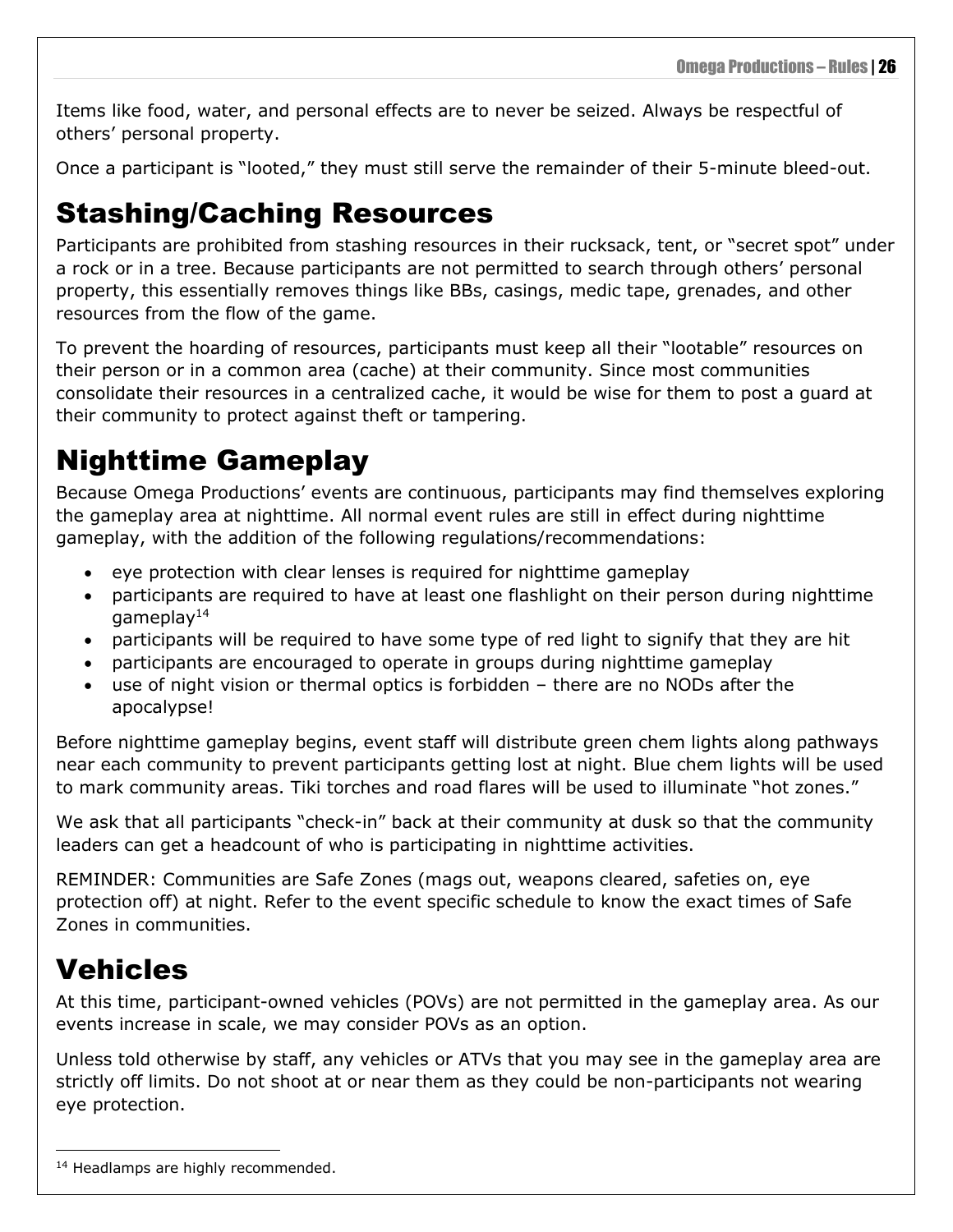Items like food, water, and personal effects are to never be seized. Always be respectful of others' personal property.

Once a participant is "looted," they must still serve the remainder of their 5-minute bleed-out.

### <span id="page-29-0"></span>Stashing/Caching Resources

Participants are prohibited from stashing resources in their rucksack, tent, or "secret spot" under a rock or in a tree. Because participants are not permitted to search through others' personal property, this essentially removes things like BBs, casings, medic tape, grenades, and other resources from the flow of the game.

To prevent the hoarding of resources, participants must keep all their "lootable" resources on their person or in a common area (cache) at their community. Since most communities consolidate their resources in a centralized cache, it would be wise for them to post a guard at their community to protect against theft or tampering.

### <span id="page-29-1"></span>Nighttime Gameplay

Because Omega Productions' events are continuous, participants may find themselves exploring the gameplay area at nighttime. All normal event rules are still in effect during nighttime gameplay, with the addition of the following regulations/recommendations:

- eye protection with clear lenses is required for nighttime gameplay
- participants are required to have at least one flashlight on their person during nighttime gameplay $14$
- participants will be required to have some type of red light to signify that they are hit
- participants are encouraged to operate in groups during nighttime gameplay
- use of night vision or thermal optics is forbidden there are no NODs after the apocalypse!

Before nighttime gameplay begins, event staff will distribute green chem lights along pathways near each community to prevent participants getting lost at night. Blue chem lights will be used to mark community areas. Tiki torches and road flares will be used to illuminate "hot zones."

We ask that all participants "check-in" back at their community at dusk so that the community leaders can get a headcount of who is participating in nighttime activities.

REMINDER: Communities are Safe Zones (mags out, weapons cleared, safeties on, eye protection off) at night. Refer to the event specific schedule to know the exact times of Safe Zones in communities.

### <span id="page-29-2"></span>**Vehicles**

At this time, participant-owned vehicles (POVs) are not permitted in the gameplay area. As our events increase in scale, we may consider POVs as an option.

Unless told otherwise by staff, any vehicles or ATVs that you may see in the gameplay area are strictly off limits. Do not shoot at or near them as they could be non-participants not wearing eye protection.

<sup>&</sup>lt;sup>14</sup> Headlamps are highly recommended.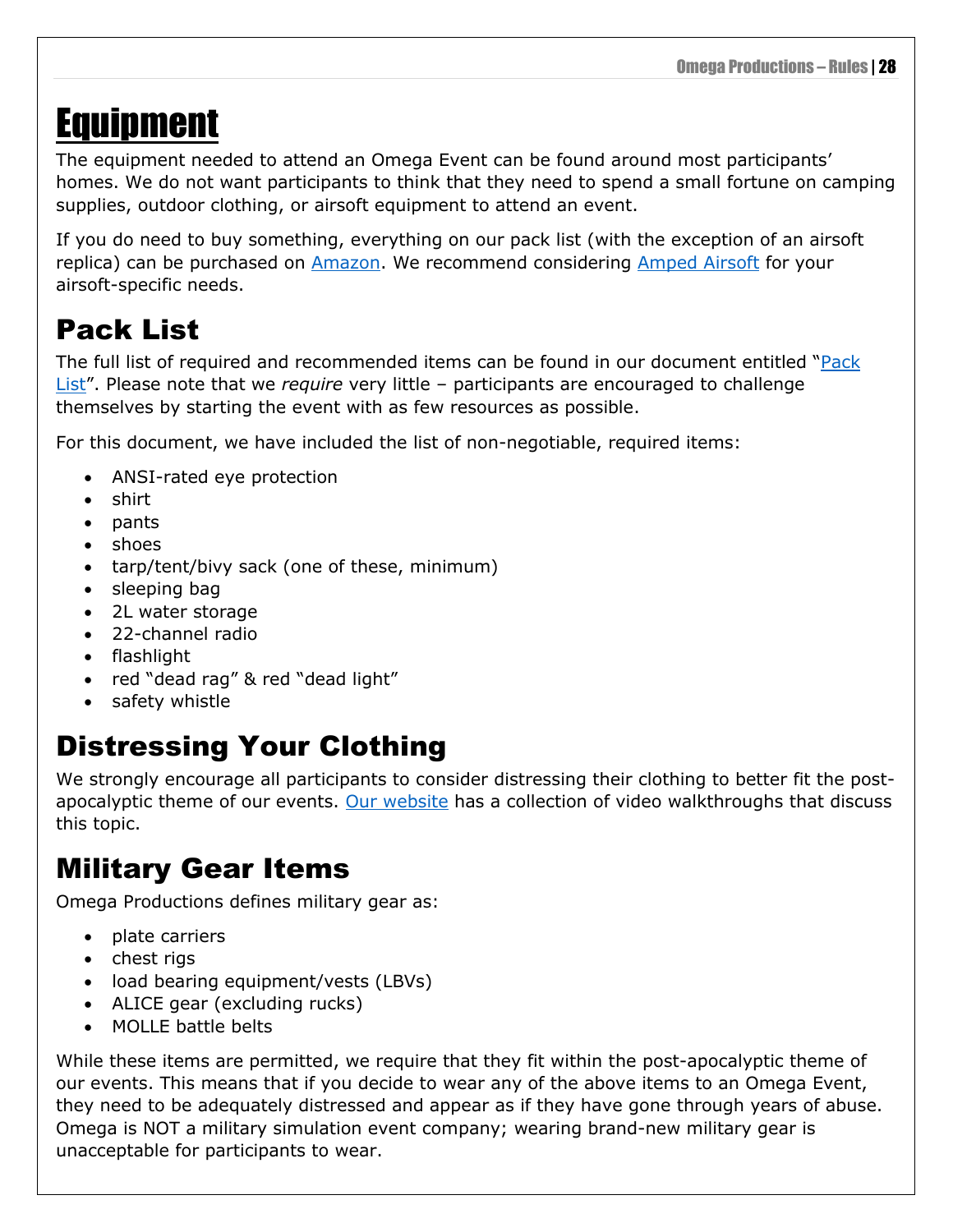# <span id="page-31-0"></span>Equipment

The equipment needed to attend an Omega Event can be found around most participants' homes. We do not want participants to think that they need to spend a small fortune on camping supplies, outdoor clothing, or airsoft equipment to attend an event.

If you do need to buy something, everything on our pack list (with the exception of an airsoft replica) can be purchased on [Amazon.](https://www.omega-epi.com/everything-on-amazon) We recommend considering [Amped Airsoft](http://www.ampedairsoft.com/) for your airsoft-specific needs.

### <span id="page-31-1"></span>Pack List

The full list of required and recommended items can be found in our document entitled "[Pack](https://www.omega-epi.com/gear)  [List](https://www.omega-epi.com/gear)". Please note that we *require* very little – participants are encouraged to challenge themselves by starting the event with as few resources as possible.

For this document, we have included the list of non-negotiable, required items:

- ANSI-rated eye protection
- shirt
- pants
- shoes
- tarp/tent/bivy sack (one of these, minimum)
- sleeping bag
- 2L water storage
- 22-channel radio
- flashlight
- red "dead rag" & red "dead light"
- safety whistle

### <span id="page-31-2"></span>Distressing Your Clothing

We strongly encourage all participants to consider distressing their clothing to better fit the postapocalyptic theme of our events. [Our website](https://www.omega-epi.com/how-to) has a collection of video walkthroughs that discuss this topic.

### <span id="page-31-3"></span>Military Gear Items

Omega Productions defines military gear as:

- plate carriers
- chest rigs
- load bearing equipment/vests (LBVs)
- ALICE gear (excluding rucks)
- MOLLE battle belts

While these items are permitted, we require that they fit within the post-apocalyptic theme of our events. This means that if you decide to wear any of the above items to an Omega Event, they need to be adequately distressed and appear as if they have gone through years of abuse. Omega is NOT a military simulation event company; wearing brand-new military gear is unacceptable for participants to wear.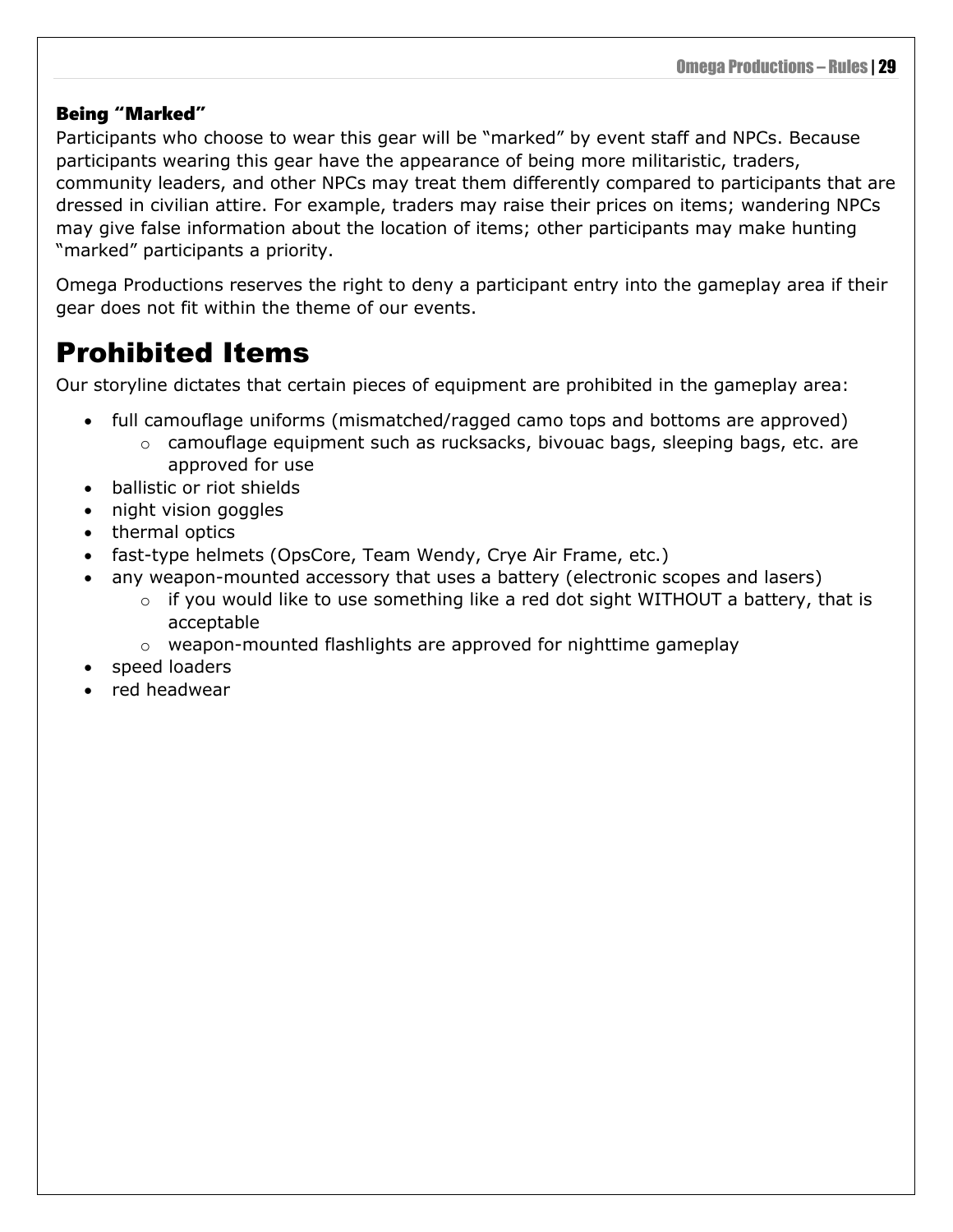#### <span id="page-32-0"></span>Being "Marked"

Participants who choose to wear this gear will be "marked" by event staff and NPCs. Because participants wearing this gear have the appearance of being more militaristic, traders, community leaders, and other NPCs may treat them differently compared to participants that are dressed in civilian attire. For example, traders may raise their prices on items; wandering NPCs may give false information about the location of items; other participants may make hunting "marked" participants a priority.

Omega Productions reserves the right to deny a participant entry into the gameplay area if their gear does not fit within the theme of our events.

### <span id="page-32-1"></span>Prohibited Items

Our storyline dictates that certain pieces of equipment are prohibited in the gameplay area:

- full camouflage uniforms (mismatched/ragged camo tops and bottoms are approved)
	- o camouflage equipment such as rucksacks, bivouac bags, sleeping bags, etc. are approved for use
- ballistic or riot shields
- night vision goggles
- thermal optics
- fast-type helmets (OpsCore, Team Wendy, Crye Air Frame, etc.)
- any weapon-mounted accessory that uses a battery (electronic scopes and lasers)
	- $\circ$  if you would like to use something like a red dot sight WITHOUT a battery, that is acceptable
	- $\circ$  weapon-mounted flashlights are approved for nighttime gameplay
- speed loaders
- red headwear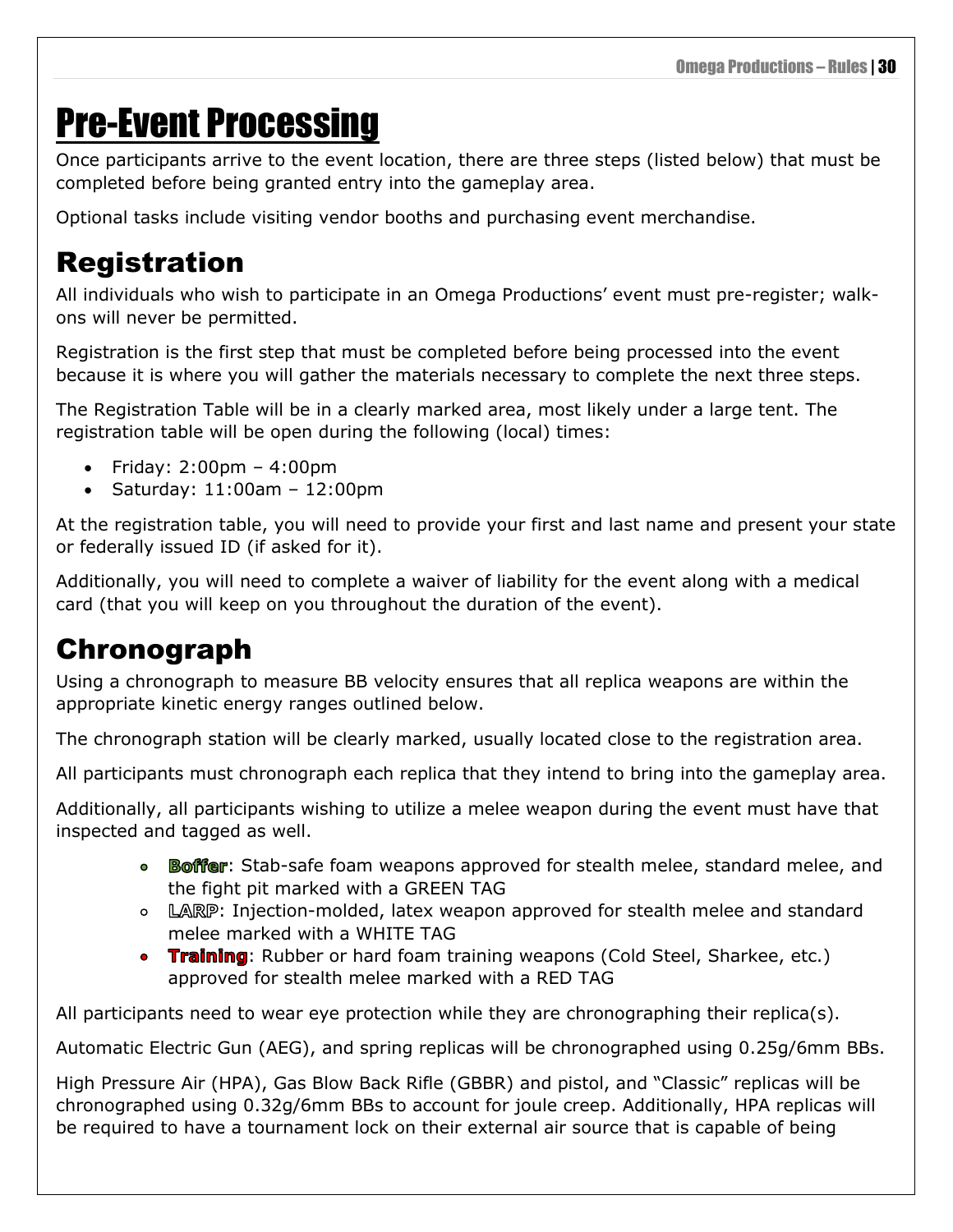# <span id="page-33-0"></span>Pre-Event Processing

Once participants arrive to the event location, there are three steps (listed below) that must be completed before being granted entry into the gameplay area.

Optional tasks include visiting vendor booths and purchasing event merchandise.

### <span id="page-33-1"></span>Registration

All individuals who wish to participate in an Omega Productions' event must pre-register; walkons will never be permitted.

Registration is the first step that must be completed before being processed into the event because it is where you will gather the materials necessary to complete the next three steps.

The Registration Table will be in a clearly marked area, most likely under a large tent. The registration table will be open during the following (local) times:

- Friday: 2:00pm 4:00pm
- Saturday: 11:00am 12:00pm

At the registration table, you will need to provide your first and last name and present your state or federally issued ID (if asked for it).

Additionally, you will need to complete a waiver of liability for the event along with a medical card (that you will keep on you throughout the duration of the event).

### <span id="page-33-2"></span>Chronograph

Using a chronograph to measure BB velocity ensures that all replica weapons are within the appropriate kinetic energy ranges outlined below.

The chronograph station will be clearly marked, usually located close to the registration area.

All participants must chronograph each replica that they intend to bring into the gameplay area.

Additionally, all participants wishing to utilize a melee weapon during the event must have that inspected and tagged as well.

- Boffer: Stab-safe foam weapons approved for stealth melee, standard melee, and the fight pit marked with a GREEN TAG
- **LARP: Injection-molded, latex weapon approved for stealth melee and standard** melee marked with a WHITE TAG
- **Training:** Rubber or hard foam training weapons (Cold Steel, Sharkee, etc.) approved for stealth melee marked with a RED TAG

All participants need to wear eye protection while they are chronographing their replica(s).

Automatic Electric Gun (AEG), and spring replicas will be chronographed using 0.25g/6mm BBs.

High Pressure Air (HPA), Gas Blow Back Rifle (GBBR) and pistol, and "Classic" replicas will be chronographed using 0.32g/6mm BBs to account for joule creep. Additionally, HPA replicas will be required to have a tournament lock on their external air source that is capable of being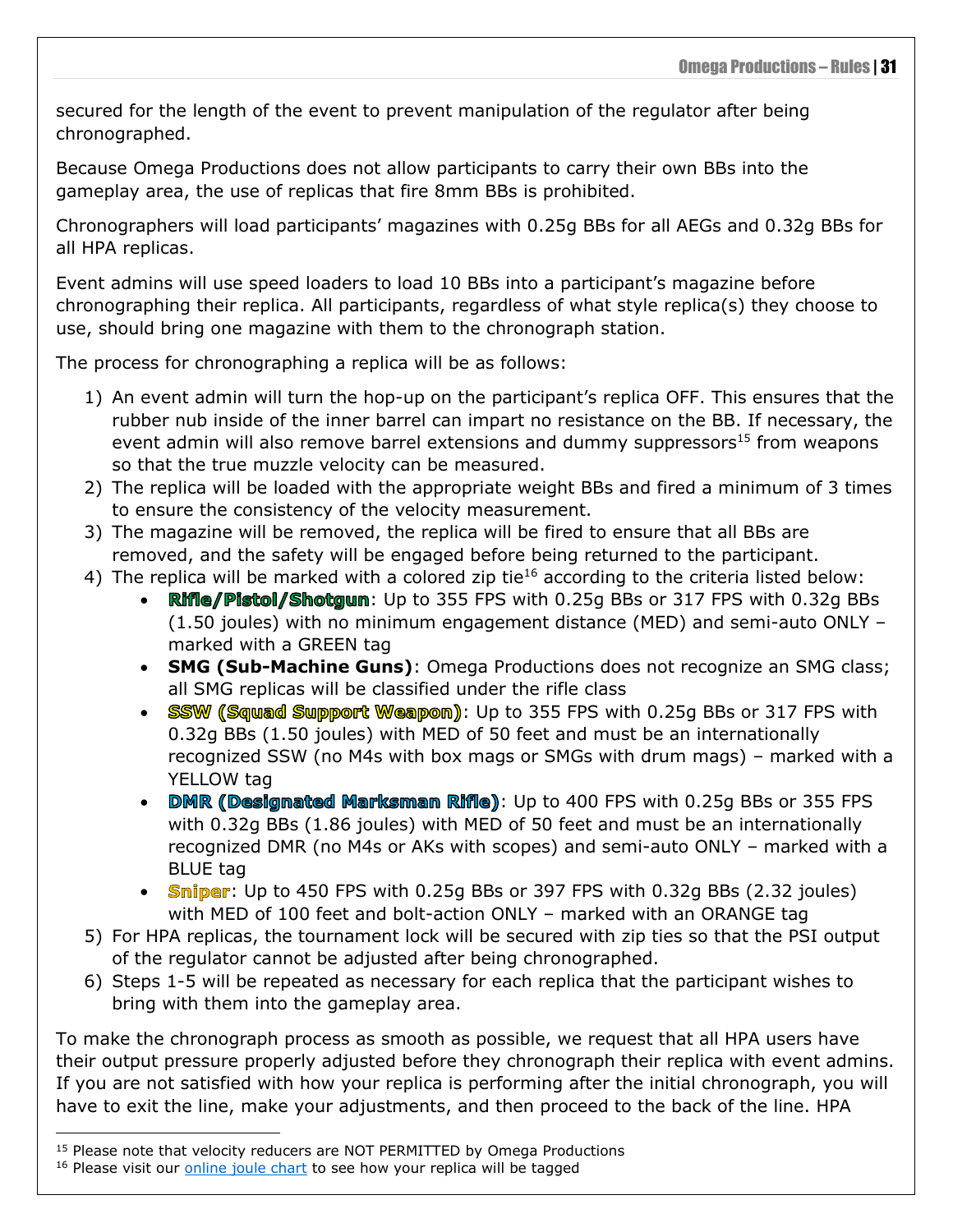secured for the length of the event to prevent manipulation of the regulator after being chronographed.

Because Omega Productions does not allow participants to carry their own BBs into the gameplay area, the use of replicas that fire 8mm BBs is prohibited.

Chronographers will load participants' magazines with 0.25g BBs for all AEGs and 0.32g BBs for all HPA replicas.

Event admins will use speed loaders to load 10 BBs into a participant's magazine before chronographing their replica. All participants, regardless of what style replica(s) they choose to use, should bring one magazine with them to the chronograph station.

The process for chronographing a replica will be as follows:

- 1) An event admin will turn the hop-up on the participant's replica OFF. This ensures that the rubber nub inside of the inner barrel can impart no resistance on the BB. If necessary, the event admin will also remove barrel extensions and dummy suppressors<sup>15</sup> from weapons so that the true muzzle velocity can be measured.
- 2) The replica will be loaded with the appropriate weight BBs and fired a minimum of 3 times to ensure the consistency of the velocity measurement.
- 3) The magazine will be removed, the replica will be fired to ensure that all BBs are removed, and the safety will be engaged before being returned to the participant.
- 4) The replica will be marked with a colored zip tie<sup>16</sup> according to the criteria listed below:
	- $\mathbb{R}$  if  $\mathbb{R}$  Pistol/Shotgun: Up to 355 FPS with 0.25g BBs or 317 FPS with 0.32g BBs (1.50 joules) with no minimum engagement distance (MED) and semi-auto ONLY – marked with a GREEN tag
	- **SMG (Sub-Machine Guns)**: Omega Productions does not recognize an SMG class; all SMG replicas will be classified under the rifle class
	- SSW (Squad Support Weapon): Up to 355 FPS with 0.25q BBs or 317 FPS with 0.32g BBs (1.50 joules) with MED of 50 feet and must be an internationally recognized SSW (no M4s with box mags or SMGs with drum mags) – marked with a YELLOW tag
	- DMR (Designated Marksman Rifle): Up to 400 FPS with 0.25g BBs or 355 FPS with 0.32g BBs (1.86 joules) with MED of 50 feet and must be an internationally recognized DMR (no M4s or AKs with scopes) and semi-auto ONLY – marked with a BLUE tag
	- **Sniper**: Up to 450 FPS with 0.25g BBs or 397 FPS with 0.32g BBs (2.32 joules) with MED of 100 feet and bolt-action ONLY – marked with an ORANGE tag
- 5) For HPA replicas, the tournament lock will be secured with zip ties so that the PSI output of the regulator cannot be adjusted after being chronographed.
- 6) Steps 1-5 will be repeated as necessary for each replica that the participant wishes to bring with them into the gameplay area.

To make the chronograph process as smooth as possible, we request that all HPA users have their output pressure properly adjusted before they chronograph their replica with event admins. If you are not satisfied with how your replica is performing after the initial chronograph, you will have to exit the line, make your adjustments, and then proceed to the back of the line. HPA

<sup>15</sup> Please note that velocity reducers are NOT PERMITTED by Omega Productions

<sup>&</sup>lt;sup>16</sup> Please visit our *online joule chart* to see how your replica will be tagged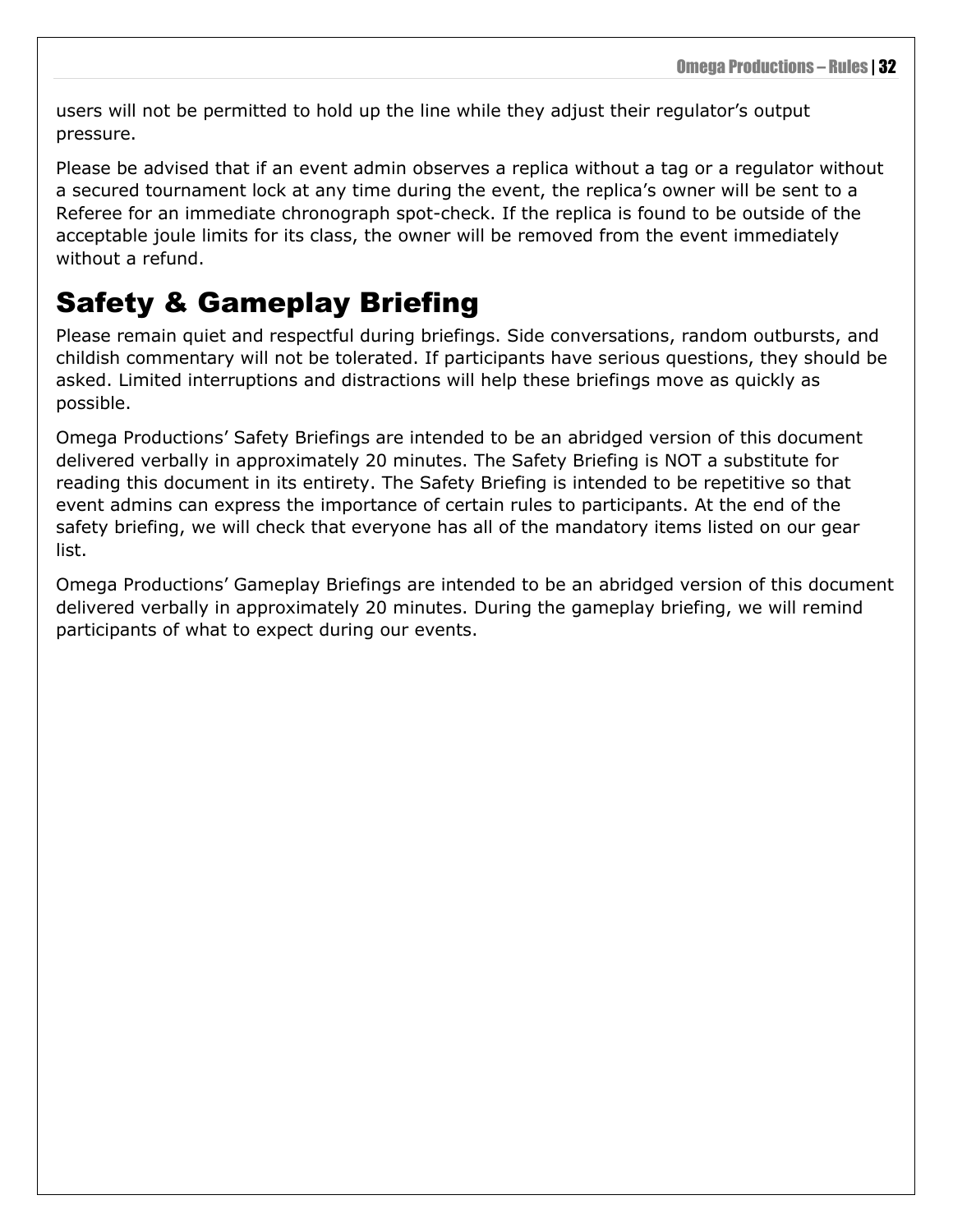users will not be permitted to hold up the line while they adjust their regulator's output pressure.

Please be advised that if an event admin observes a replica without a tag or a regulator without a secured tournament lock at any time during the event, the replica's owner will be sent to a Referee for an immediate chronograph spot-check. If the replica is found to be outside of the acceptable joule limits for its class, the owner will be removed from the event immediately without a refund.

### <span id="page-35-0"></span>Safety & Gameplay Briefing

Please remain quiet and respectful during briefings. Side conversations, random outbursts, and childish commentary will not be tolerated. If participants have serious questions, they should be asked. Limited interruptions and distractions will help these briefings move as quickly as possible.

Omega Productions' Safety Briefings are intended to be an abridged version of this document delivered verbally in approximately 20 minutes. The Safety Briefing is NOT a substitute for reading this document in its entirety. The Safety Briefing is intended to be repetitive so that event admins can express the importance of certain rules to participants. At the end of the safety briefing, we will check that everyone has all of the mandatory items listed on our gear list.

Omega Productions' Gameplay Briefings are intended to be an abridged version of this document delivered verbally in approximately 20 minutes. During the gameplay briefing, we will remind participants of what to expect during our events.